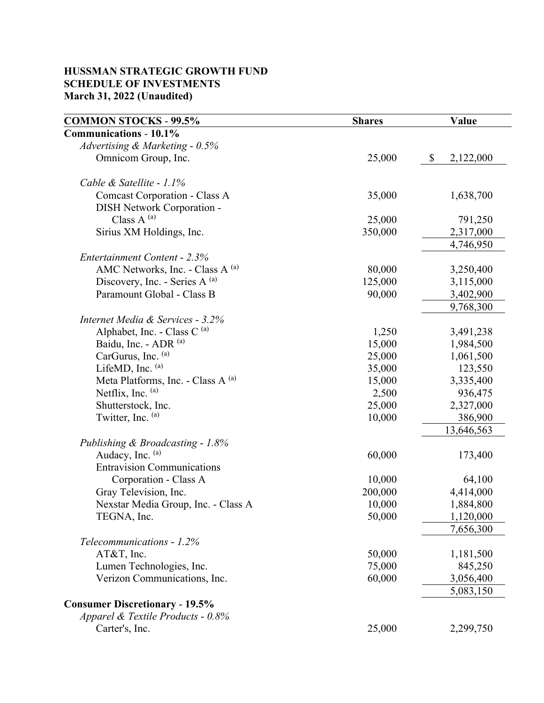### **HUSSMAN STRATEGIC GROWTH FUND SCHEDULE OF INVESTMENTS March 31, 2022 (Unaudited)**

| <b>Communications - 10.1%</b>                 |           |
|-----------------------------------------------|-----------|
| Advertising & Marketing - 0.5%                |           |
| Omnicom Group, Inc.<br>25,000<br>\$           | 2,122,000 |
| Cable & Satellite - 1.1%                      |           |
| Comcast Corporation - Class A<br>35,000       | 1,638,700 |
| DISH Network Corporation -                    |           |
| Class $A^{(a)}$<br>25,000                     | 791,250   |
| Sirius XM Holdings, Inc.<br>350,000           | 2,317,000 |
|                                               | 4,746,950 |
| Entertainment Content - 2.3%                  |           |
| AMC Networks, Inc. - Class A (a)<br>80,000    | 3,250,400 |
| Discovery, Inc. - Series A (a)<br>125,000     | 3,115,000 |
| Paramount Global - Class B<br>90,000          | 3,402,900 |
|                                               | 9,768,300 |
| Internet Media & Services - 3.2%              |           |
| Alphabet, Inc. - Class C $^{(a)}$<br>1,250    | 3,491,238 |
| Baidu, Inc. - ADR (a)<br>15,000               | 1,984,500 |
| CarGurus, Inc. (a)<br>25,000                  | 1,061,500 |
| LifeMD, Inc. $(a)$<br>35,000                  | 123,550   |
| Meta Platforms, Inc. - Class A (a)<br>15,000  | 3,335,400 |
| Netflix, Inc. $(a)$<br>2,500                  | 936,475   |
| Shutterstock, Inc.<br>25,000                  | 2,327,000 |
| Twitter, Inc. (a)<br>10,000                   | 386,900   |
| 13,646,563                                    |           |
| Publishing & Broadcasting - 1.8%              |           |
| Audacy, Inc. (a)<br>60,000                    | 173,400   |
| <b>Entravision Communications</b>             |           |
| Corporation - Class A<br>10,000               | 64,100    |
| 200,000<br>Gray Television, Inc.              | 4,414,000 |
| Nexstar Media Group, Inc. - Class A<br>10,000 | 1,884,800 |
| TEGNA, Inc.<br>50,000                         | 1,120,000 |
|                                               | 7,656,300 |
| Telecommunications - 1.2%                     |           |
| AT&T, Inc.<br>50,000                          | 1,181,500 |
| Lumen Technologies, Inc.<br>75,000            | 845,250   |
| Verizon Communications, Inc.<br>60,000        | 3,056,400 |
|                                               | 5,083,150 |
| <b>Consumer Discretionary - 19.5%</b>         |           |
| Apparel & Textile Products - 0.8%             |           |
| Carter's, Inc.<br>25,000                      | 2,299,750 |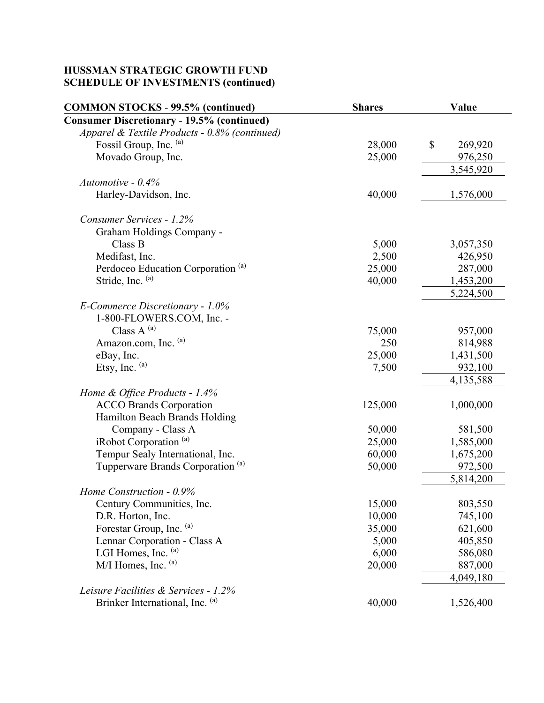| <b>COMMON STOCKS - 99.5% (continued)</b>          | <b>Shares</b> | Value         |
|---------------------------------------------------|---------------|---------------|
| <b>Consumer Discretionary - 19.5% (continued)</b> |               |               |
| Apparel & Textile Products - 0.8% (continued)     |               |               |
| Fossil Group, Inc. (a)                            | 28,000        | \$<br>269,920 |
| Movado Group, Inc.                                | 25,000        | 976,250       |
|                                                   |               | 3,545,920     |
| Automotive - $0.4\%$                              |               |               |
| Harley-Davidson, Inc.                             | 40,000        | 1,576,000     |
| Consumer Services - 1.2%                          |               |               |
| Graham Holdings Company -                         |               |               |
| Class B                                           | 5,000         | 3,057,350     |
| Medifast, Inc.                                    | 2,500         | 426,950       |
| Perdoceo Education Corporation <sup>(a)</sup>     | 25,000        | 287,000       |
| Stride, Inc. (a)                                  | 40,000        | 1,453,200     |
|                                                   |               | 5,224,500     |
| E-Commerce Discretionary - $1.0\%$                |               |               |
| 1-800-FLOWERS.COM, Inc. -                         |               |               |
| Class A $^{(a)}$                                  | 75,000        | 957,000       |
| Amazon.com, Inc. (a)                              | 250           | 814,988       |
| eBay, Inc.                                        | 25,000        | 1,431,500     |
| Etsy, Inc. $(a)$                                  | 7,500         | 932,100       |
|                                                   |               | 4,135,588     |
| Home & Office Products - 1.4%                     |               |               |
| <b>ACCO Brands Corporation</b>                    | 125,000       | 1,000,000     |
| Hamilton Beach Brands Holding                     |               |               |
| Company - Class A                                 | 50,000        | 581,500       |
| iRobot Corporation <sup>(a)</sup>                 | 25,000        | 1,585,000     |
| Tempur Sealy International, Inc.                  | 60,000        | 1,675,200     |
| Tupperware Brands Corporation <sup>(a)</sup>      | 50,000        | 972,500       |
|                                                   |               | 5,814,200     |
| Home Construction - 0.9%                          |               |               |
| Century Communities, Inc.                         | 15,000        | 803,550       |
| D.R. Horton, Inc.                                 | 10,000        | 745,100       |
| Forestar Group, Inc. (a)                          | 35,000        | 621,600       |
| Lennar Corporation - Class A                      | 5,000         | 405,850       |
| LGI Homes, Inc. $(a)$                             | 6,000         | 586,080       |
| $M/I$ Homes, Inc. $(a)$                           | 20,000        | 887,000       |
|                                                   |               | 4,049,180     |
| Leisure Facilities & Services - 1.2%              |               |               |
| Brinker International, Inc. (a)                   | 40,000        | 1,526,400     |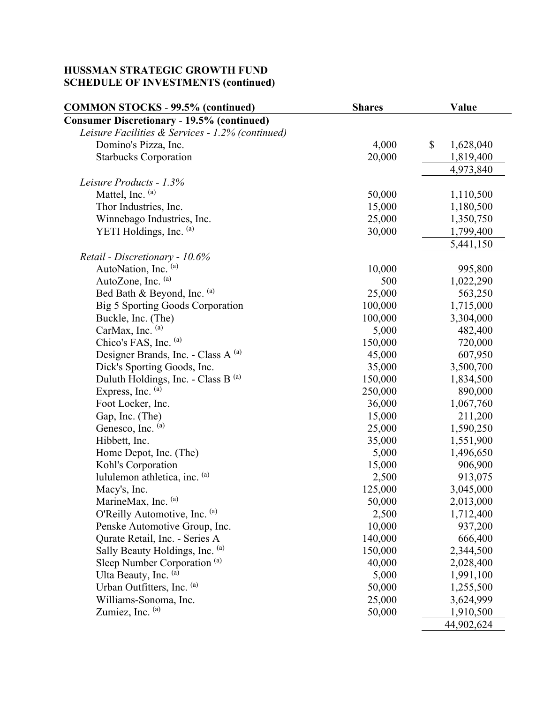| <b>COMMON STOCKS - 99.5% (continued)</b>          | <b>Shares</b> | Value           |
|---------------------------------------------------|---------------|-----------------|
| <b>Consumer Discretionary - 19.5% (continued)</b> |               |                 |
| Leisure Facilities & Services - 1.2% (continued)  |               |                 |
| Domino's Pizza, Inc.                              | 4,000         | \$<br>1,628,040 |
| <b>Starbucks Corporation</b>                      | 20,000        | 1,819,400       |
|                                                   |               | 4,973,840       |
| Leisure Products - 1.3%                           |               |                 |
| Mattel, Inc. (a)                                  | 50,000        | 1,110,500       |
| Thor Industries, Inc.                             | 15,000        | 1,180,500       |
| Winnebago Industries, Inc.                        | 25,000        | 1,350,750       |
| YETI Holdings, Inc. (a)                           | 30,000        | 1,799,400       |
|                                                   |               | 5,441,150       |
| Retail - Discretionary - 10.6%                    |               |                 |
| AutoNation, Inc. (a)                              | 10,000        | 995,800         |
| AutoZone, Inc. (a)                                | 500           | 1,022,290       |
| Bed Bath & Beyond, Inc. (a)                       | 25,000        | 563,250         |
| Big 5 Sporting Goods Corporation                  | 100,000       | 1,715,000       |
| Buckle, Inc. (The)                                | 100,000       | 3,304,000       |
| CarMax, Inc. (a)                                  | 5,000         | 482,400         |
| Chico's FAS, Inc. (a)                             | 150,000       | 720,000         |
| Designer Brands, Inc. - Class A (a)               | 45,000        | 607,950         |
| Dick's Sporting Goods, Inc.                       | 35,000        | 3,500,700       |
| Duluth Holdings, Inc. - Class B (a)               | 150,000       | 1,834,500       |
| Express, Inc. (a)                                 | 250,000       | 890,000         |
| Foot Locker, Inc.                                 | 36,000        | 1,067,760       |
| Gap, Inc. (The)                                   | 15,000        | 211,200         |
| Genesco, Inc. (a)                                 | 25,000        | 1,590,250       |
| Hibbett, Inc.                                     | 35,000        | 1,551,900       |
| Home Depot, Inc. (The)                            | 5,000         | 1,496,650       |
| Kohl's Corporation                                | 15,000        | 906,900         |
| lululemon athletica, inc. (a)                     | 2,500         | 913,075         |
| Macy's, Inc.                                      | 125,000       | 3,045,000       |
| MarineMax, Inc. (a)                               | 50,000        | 2,013,000       |
| O'Reilly Automotive, Inc. (a)                     | 2,500         | 1,712,400       |
| Penske Automotive Group, Inc.                     | 10,000        | 937,200         |
| Qurate Retail, Inc. - Series A                    | 140,000       | 666,400         |
| Sally Beauty Holdings, Inc. (a)                   | 150,000       | 2,344,500       |
| Sleep Number Corporation <sup>(a)</sup>           | 40,000        | 2,028,400       |
| Ulta Beauty, Inc. (a)                             | 5,000         | 1,991,100       |
| Urban Outfitters, Inc. (a)                        | 50,000        | 1,255,500       |
| Williams-Sonoma, Inc.                             | 25,000        | 3,624,999       |
| Zumiez, Inc. (a)                                  | 50,000        | 1,910,500       |
|                                                   |               | 44,902,624      |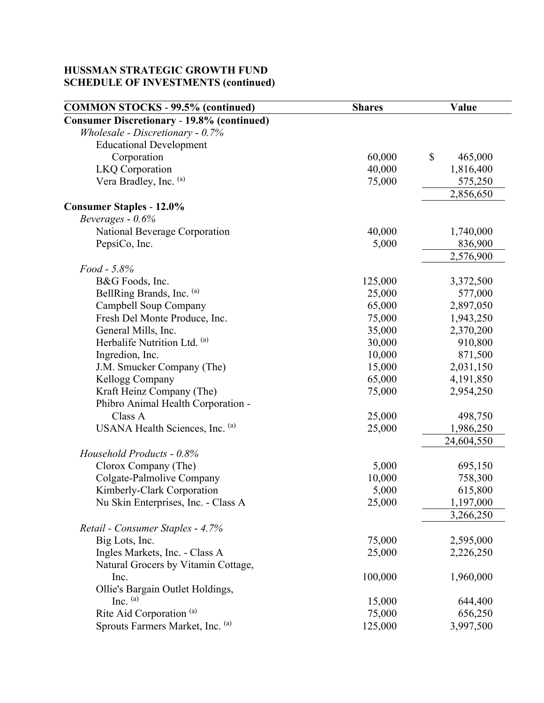| <b>COMMON STOCKS - 99.5% (continued)</b>          | <b>Shares</b> | Value         |
|---------------------------------------------------|---------------|---------------|
| <b>Consumer Discretionary - 19.8% (continued)</b> |               |               |
| Wholesale - Discretionary - 0.7%                  |               |               |
| <b>Educational Development</b>                    |               |               |
| Corporation                                       | 60,000        | \$<br>465,000 |
| <b>LKQ</b> Corporation                            | 40,000        | 1,816,400     |
| Vera Bradley, Inc. (a)                            | 75,000        | 575,250       |
|                                                   |               | 2,856,650     |
| <b>Consumer Staples - 12.0%</b>                   |               |               |
| Beverages $-0.6%$                                 |               |               |
| National Beverage Corporation                     | 40,000        | 1,740,000     |
| PepsiCo, Inc.                                     | 5,000         | 836,900       |
|                                                   |               | 2,576,900     |
| Food - 5.8%                                       |               |               |
| B&G Foods, Inc.                                   | 125,000       | 3,372,500     |
| BellRing Brands, Inc. (a)                         | 25,000        | 577,000       |
| Campbell Soup Company                             | 65,000        | 2,897,050     |
| Fresh Del Monte Produce, Inc.                     | 75,000        | 1,943,250     |
| General Mills, Inc.                               | 35,000        | 2,370,200     |
| Herbalife Nutrition Ltd. (a)                      | 30,000        | 910,800       |
| Ingredion, Inc.                                   | 10,000        | 871,500       |
| J.M. Smucker Company (The)                        | 15,000        | 2,031,150     |
| Kellogg Company                                   | 65,000        | 4,191,850     |
| Kraft Heinz Company (The)                         | 75,000        | 2,954,250     |
| Phibro Animal Health Corporation -                |               |               |
| Class A                                           | 25,000        | 498,750       |
| USANA Health Sciences, Inc. (a)                   | 25,000        | 1,986,250     |
|                                                   |               | 24,604,550    |
| Household Products - 0.8%                         |               |               |
| Clorox Company (The)                              | 5,000         | 695,150       |
| Colgate-Palmolive Company                         | 10,000        | 758,300       |
| Kimberly-Clark Corporation                        | 5,000         | 615,800       |
| Nu Skin Enterprises, Inc. - Class A               | 25,000        | 1,197,000     |
|                                                   |               | 3,266,250     |
| Retail - Consumer Staples - 4.7%                  |               |               |
| Big Lots, Inc.                                    | 75,000        | 2,595,000     |
| Ingles Markets, Inc. - Class A                    | 25,000        | 2,226,250     |
| Natural Grocers by Vitamin Cottage,               |               |               |
| Inc.                                              | 100,000       | 1,960,000     |
| Ollie's Bargain Outlet Holdings,                  |               |               |
| Inc. $(a)$                                        | 15,000        | 644,400       |
| Rite Aid Corporation <sup>(a)</sup>               | 75,000        | 656,250       |
| Sprouts Farmers Market, Inc. (a)                  | 125,000       | 3,997,500     |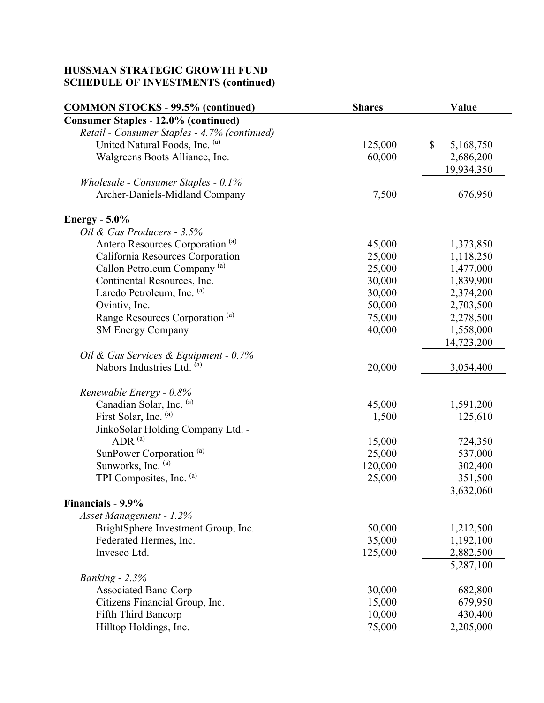| <b>Consumer Staples - 12.0% (continued)</b><br>Retail - Consumer Staples - 4.7% (continued)<br>United Natural Foods, Inc. (a)<br>125,000<br>\$<br>5,168,750<br>60,000<br>Walgreens Boots Alliance, Inc.<br>2,686,200<br>19,934,350<br>Wholesale - Consumer Staples - 0.1%<br>Archer-Daniels-Midland Company<br>7,500<br>676,950<br><b>Energy</b> - 5.0%<br>Oil & Gas Producers - 3.5%<br>Antero Resources Corporation <sup>(a)</sup><br>45,000<br>1,373,850<br>California Resources Corporation<br>25,000<br>1,118,250<br>Callon Petroleum Company <sup>(a)</sup><br>25,000<br>1,477,000<br>Continental Resources, Inc.<br>1,839,900<br>30,000<br>Laredo Petroleum, Inc. (a)<br>30,000<br>2,374,200<br>2,703,500<br>Ovintiv, Inc.<br>50,000<br>Range Resources Corporation <sup>(a)</sup><br>75,000<br>2,278,500<br>40,000<br><b>SM Energy Company</b><br>1,558,000<br>14,723,200<br>Oil & Gas Services & Equipment - 0.7%<br>Nabors Industries Ltd. (a)<br>20,000<br>3,054,400<br>Renewable Energy - 0.8%<br>Canadian Solar, Inc. (a)<br>45,000<br>1,591,200<br>First Solar, Inc. (a)<br>125,610<br>1,500<br>JinkoSolar Holding Company Ltd. -<br>ADR <sup>(a)</sup><br>15,000<br>724,350<br>SunPower Corporation <sup>(a)</sup><br>25,000<br>537,000<br>Sunworks, Inc. (a)<br>120,000<br>302,400<br>TPI Composites, Inc. (a)<br>25,000<br>351,500<br>3,632,060<br>Financials - 9.9%<br>Asset Management - 1.2%<br>BrightSphere Investment Group, Inc.<br>50,000<br>1,212,500<br>Federated Hermes, Inc.<br>35,000<br>1,192,100<br>Invesco Ltd.<br>125,000<br>2,882,500<br>5,287,100<br>Banking - $2.3%$<br><b>Associated Banc-Corp</b><br>30,000<br>682,800<br>Citizens Financial Group, Inc.<br>15,000<br>679,950<br>10,000<br>430,400<br>Fifth Third Bancorp | <b>COMMON STOCKS - 99.5% (continued)</b> | <b>Shares</b> | Value     |
|-----------------------------------------------------------------------------------------------------------------------------------------------------------------------------------------------------------------------------------------------------------------------------------------------------------------------------------------------------------------------------------------------------------------------------------------------------------------------------------------------------------------------------------------------------------------------------------------------------------------------------------------------------------------------------------------------------------------------------------------------------------------------------------------------------------------------------------------------------------------------------------------------------------------------------------------------------------------------------------------------------------------------------------------------------------------------------------------------------------------------------------------------------------------------------------------------------------------------------------------------------------------------------------------------------------------------------------------------------------------------------------------------------------------------------------------------------------------------------------------------------------------------------------------------------------------------------------------------------------------------------------------------------------------------------------------------------------------------------------------------------------------|------------------------------------------|---------------|-----------|
|                                                                                                                                                                                                                                                                                                                                                                                                                                                                                                                                                                                                                                                                                                                                                                                                                                                                                                                                                                                                                                                                                                                                                                                                                                                                                                                                                                                                                                                                                                                                                                                                                                                                                                                                                                 |                                          |               |           |
|                                                                                                                                                                                                                                                                                                                                                                                                                                                                                                                                                                                                                                                                                                                                                                                                                                                                                                                                                                                                                                                                                                                                                                                                                                                                                                                                                                                                                                                                                                                                                                                                                                                                                                                                                                 |                                          |               |           |
|                                                                                                                                                                                                                                                                                                                                                                                                                                                                                                                                                                                                                                                                                                                                                                                                                                                                                                                                                                                                                                                                                                                                                                                                                                                                                                                                                                                                                                                                                                                                                                                                                                                                                                                                                                 |                                          |               |           |
|                                                                                                                                                                                                                                                                                                                                                                                                                                                                                                                                                                                                                                                                                                                                                                                                                                                                                                                                                                                                                                                                                                                                                                                                                                                                                                                                                                                                                                                                                                                                                                                                                                                                                                                                                                 |                                          |               |           |
|                                                                                                                                                                                                                                                                                                                                                                                                                                                                                                                                                                                                                                                                                                                                                                                                                                                                                                                                                                                                                                                                                                                                                                                                                                                                                                                                                                                                                                                                                                                                                                                                                                                                                                                                                                 |                                          |               |           |
|                                                                                                                                                                                                                                                                                                                                                                                                                                                                                                                                                                                                                                                                                                                                                                                                                                                                                                                                                                                                                                                                                                                                                                                                                                                                                                                                                                                                                                                                                                                                                                                                                                                                                                                                                                 |                                          |               |           |
|                                                                                                                                                                                                                                                                                                                                                                                                                                                                                                                                                                                                                                                                                                                                                                                                                                                                                                                                                                                                                                                                                                                                                                                                                                                                                                                                                                                                                                                                                                                                                                                                                                                                                                                                                                 |                                          |               |           |
|                                                                                                                                                                                                                                                                                                                                                                                                                                                                                                                                                                                                                                                                                                                                                                                                                                                                                                                                                                                                                                                                                                                                                                                                                                                                                                                                                                                                                                                                                                                                                                                                                                                                                                                                                                 |                                          |               |           |
|                                                                                                                                                                                                                                                                                                                                                                                                                                                                                                                                                                                                                                                                                                                                                                                                                                                                                                                                                                                                                                                                                                                                                                                                                                                                                                                                                                                                                                                                                                                                                                                                                                                                                                                                                                 |                                          |               |           |
|                                                                                                                                                                                                                                                                                                                                                                                                                                                                                                                                                                                                                                                                                                                                                                                                                                                                                                                                                                                                                                                                                                                                                                                                                                                                                                                                                                                                                                                                                                                                                                                                                                                                                                                                                                 |                                          |               |           |
|                                                                                                                                                                                                                                                                                                                                                                                                                                                                                                                                                                                                                                                                                                                                                                                                                                                                                                                                                                                                                                                                                                                                                                                                                                                                                                                                                                                                                                                                                                                                                                                                                                                                                                                                                                 |                                          |               |           |
|                                                                                                                                                                                                                                                                                                                                                                                                                                                                                                                                                                                                                                                                                                                                                                                                                                                                                                                                                                                                                                                                                                                                                                                                                                                                                                                                                                                                                                                                                                                                                                                                                                                                                                                                                                 |                                          |               |           |
|                                                                                                                                                                                                                                                                                                                                                                                                                                                                                                                                                                                                                                                                                                                                                                                                                                                                                                                                                                                                                                                                                                                                                                                                                                                                                                                                                                                                                                                                                                                                                                                                                                                                                                                                                                 |                                          |               |           |
|                                                                                                                                                                                                                                                                                                                                                                                                                                                                                                                                                                                                                                                                                                                                                                                                                                                                                                                                                                                                                                                                                                                                                                                                                                                                                                                                                                                                                                                                                                                                                                                                                                                                                                                                                                 |                                          |               |           |
|                                                                                                                                                                                                                                                                                                                                                                                                                                                                                                                                                                                                                                                                                                                                                                                                                                                                                                                                                                                                                                                                                                                                                                                                                                                                                                                                                                                                                                                                                                                                                                                                                                                                                                                                                                 |                                          |               |           |
|                                                                                                                                                                                                                                                                                                                                                                                                                                                                                                                                                                                                                                                                                                                                                                                                                                                                                                                                                                                                                                                                                                                                                                                                                                                                                                                                                                                                                                                                                                                                                                                                                                                                                                                                                                 |                                          |               |           |
|                                                                                                                                                                                                                                                                                                                                                                                                                                                                                                                                                                                                                                                                                                                                                                                                                                                                                                                                                                                                                                                                                                                                                                                                                                                                                                                                                                                                                                                                                                                                                                                                                                                                                                                                                                 |                                          |               |           |
|                                                                                                                                                                                                                                                                                                                                                                                                                                                                                                                                                                                                                                                                                                                                                                                                                                                                                                                                                                                                                                                                                                                                                                                                                                                                                                                                                                                                                                                                                                                                                                                                                                                                                                                                                                 |                                          |               |           |
|                                                                                                                                                                                                                                                                                                                                                                                                                                                                                                                                                                                                                                                                                                                                                                                                                                                                                                                                                                                                                                                                                                                                                                                                                                                                                                                                                                                                                                                                                                                                                                                                                                                                                                                                                                 |                                          |               |           |
|                                                                                                                                                                                                                                                                                                                                                                                                                                                                                                                                                                                                                                                                                                                                                                                                                                                                                                                                                                                                                                                                                                                                                                                                                                                                                                                                                                                                                                                                                                                                                                                                                                                                                                                                                                 |                                          |               |           |
|                                                                                                                                                                                                                                                                                                                                                                                                                                                                                                                                                                                                                                                                                                                                                                                                                                                                                                                                                                                                                                                                                                                                                                                                                                                                                                                                                                                                                                                                                                                                                                                                                                                                                                                                                                 |                                          |               |           |
|                                                                                                                                                                                                                                                                                                                                                                                                                                                                                                                                                                                                                                                                                                                                                                                                                                                                                                                                                                                                                                                                                                                                                                                                                                                                                                                                                                                                                                                                                                                                                                                                                                                                                                                                                                 |                                          |               |           |
|                                                                                                                                                                                                                                                                                                                                                                                                                                                                                                                                                                                                                                                                                                                                                                                                                                                                                                                                                                                                                                                                                                                                                                                                                                                                                                                                                                                                                                                                                                                                                                                                                                                                                                                                                                 |                                          |               |           |
|                                                                                                                                                                                                                                                                                                                                                                                                                                                                                                                                                                                                                                                                                                                                                                                                                                                                                                                                                                                                                                                                                                                                                                                                                                                                                                                                                                                                                                                                                                                                                                                                                                                                                                                                                                 |                                          |               |           |
|                                                                                                                                                                                                                                                                                                                                                                                                                                                                                                                                                                                                                                                                                                                                                                                                                                                                                                                                                                                                                                                                                                                                                                                                                                                                                                                                                                                                                                                                                                                                                                                                                                                                                                                                                                 |                                          |               |           |
|                                                                                                                                                                                                                                                                                                                                                                                                                                                                                                                                                                                                                                                                                                                                                                                                                                                                                                                                                                                                                                                                                                                                                                                                                                                                                                                                                                                                                                                                                                                                                                                                                                                                                                                                                                 |                                          |               |           |
|                                                                                                                                                                                                                                                                                                                                                                                                                                                                                                                                                                                                                                                                                                                                                                                                                                                                                                                                                                                                                                                                                                                                                                                                                                                                                                                                                                                                                                                                                                                                                                                                                                                                                                                                                                 |                                          |               |           |
|                                                                                                                                                                                                                                                                                                                                                                                                                                                                                                                                                                                                                                                                                                                                                                                                                                                                                                                                                                                                                                                                                                                                                                                                                                                                                                                                                                                                                                                                                                                                                                                                                                                                                                                                                                 |                                          |               |           |
|                                                                                                                                                                                                                                                                                                                                                                                                                                                                                                                                                                                                                                                                                                                                                                                                                                                                                                                                                                                                                                                                                                                                                                                                                                                                                                                                                                                                                                                                                                                                                                                                                                                                                                                                                                 |                                          |               |           |
|                                                                                                                                                                                                                                                                                                                                                                                                                                                                                                                                                                                                                                                                                                                                                                                                                                                                                                                                                                                                                                                                                                                                                                                                                                                                                                                                                                                                                                                                                                                                                                                                                                                                                                                                                                 |                                          |               |           |
|                                                                                                                                                                                                                                                                                                                                                                                                                                                                                                                                                                                                                                                                                                                                                                                                                                                                                                                                                                                                                                                                                                                                                                                                                                                                                                                                                                                                                                                                                                                                                                                                                                                                                                                                                                 |                                          |               |           |
|                                                                                                                                                                                                                                                                                                                                                                                                                                                                                                                                                                                                                                                                                                                                                                                                                                                                                                                                                                                                                                                                                                                                                                                                                                                                                                                                                                                                                                                                                                                                                                                                                                                                                                                                                                 |                                          |               |           |
|                                                                                                                                                                                                                                                                                                                                                                                                                                                                                                                                                                                                                                                                                                                                                                                                                                                                                                                                                                                                                                                                                                                                                                                                                                                                                                                                                                                                                                                                                                                                                                                                                                                                                                                                                                 |                                          |               |           |
|                                                                                                                                                                                                                                                                                                                                                                                                                                                                                                                                                                                                                                                                                                                                                                                                                                                                                                                                                                                                                                                                                                                                                                                                                                                                                                                                                                                                                                                                                                                                                                                                                                                                                                                                                                 |                                          |               |           |
|                                                                                                                                                                                                                                                                                                                                                                                                                                                                                                                                                                                                                                                                                                                                                                                                                                                                                                                                                                                                                                                                                                                                                                                                                                                                                                                                                                                                                                                                                                                                                                                                                                                                                                                                                                 |                                          |               |           |
|                                                                                                                                                                                                                                                                                                                                                                                                                                                                                                                                                                                                                                                                                                                                                                                                                                                                                                                                                                                                                                                                                                                                                                                                                                                                                                                                                                                                                                                                                                                                                                                                                                                                                                                                                                 |                                          |               |           |
|                                                                                                                                                                                                                                                                                                                                                                                                                                                                                                                                                                                                                                                                                                                                                                                                                                                                                                                                                                                                                                                                                                                                                                                                                                                                                                                                                                                                                                                                                                                                                                                                                                                                                                                                                                 |                                          |               |           |
|                                                                                                                                                                                                                                                                                                                                                                                                                                                                                                                                                                                                                                                                                                                                                                                                                                                                                                                                                                                                                                                                                                                                                                                                                                                                                                                                                                                                                                                                                                                                                                                                                                                                                                                                                                 |                                          |               |           |
|                                                                                                                                                                                                                                                                                                                                                                                                                                                                                                                                                                                                                                                                                                                                                                                                                                                                                                                                                                                                                                                                                                                                                                                                                                                                                                                                                                                                                                                                                                                                                                                                                                                                                                                                                                 |                                          |               |           |
|                                                                                                                                                                                                                                                                                                                                                                                                                                                                                                                                                                                                                                                                                                                                                                                                                                                                                                                                                                                                                                                                                                                                                                                                                                                                                                                                                                                                                                                                                                                                                                                                                                                                                                                                                                 |                                          |               |           |
|                                                                                                                                                                                                                                                                                                                                                                                                                                                                                                                                                                                                                                                                                                                                                                                                                                                                                                                                                                                                                                                                                                                                                                                                                                                                                                                                                                                                                                                                                                                                                                                                                                                                                                                                                                 | Hilltop Holdings, Inc.                   | 75,000        | 2,205,000 |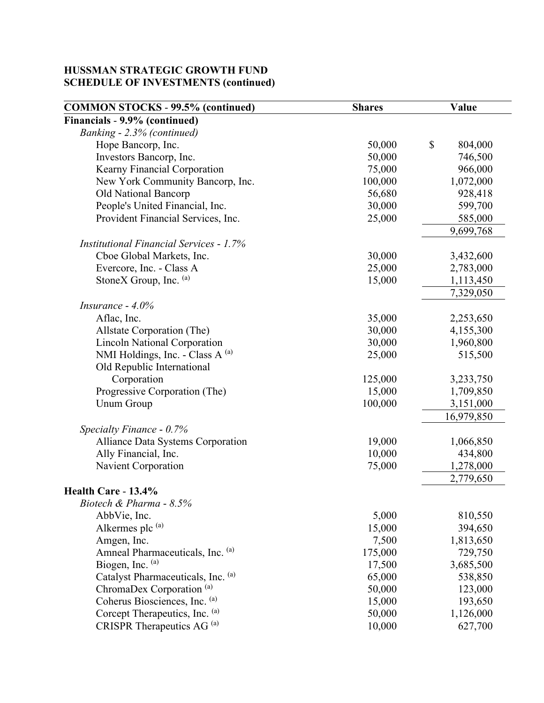| <b>COMMON STOCKS - 99.5% (continued)</b>       | <b>Shares</b> | Value         |
|------------------------------------------------|---------------|---------------|
| Financials - 9.9% (continued)                  |               |               |
| Banking - 2.3% (continued)                     |               |               |
| Hope Bancorp, Inc.                             | 50,000        | \$<br>804,000 |
| Investors Bancorp, Inc.                        | 50,000        | 746,500       |
| Kearny Financial Corporation                   | 75,000        | 966,000       |
| New York Community Bancorp, Inc.               | 100,000       | 1,072,000     |
| Old National Bancorp                           | 56,680        | 928,418       |
| People's United Financial, Inc.                | 30,000        | 599,700       |
| Provident Financial Services, Inc.             | 25,000        | 585,000       |
|                                                |               | 9,699,768     |
| <b>Institutional Financial Services - 1.7%</b> |               |               |
| Cboe Global Markets, Inc.                      | 30,000        | 3,432,600     |
| Evercore, Inc. - Class A                       | 25,000        | 2,783,000     |
| StoneX Group, Inc. (a)                         | 15,000        | 1,113,450     |
|                                                |               | 7,329,050     |
| Insurance - $4.0\%$                            |               |               |
| Aflac, Inc.                                    | 35,000        | 2,253,650     |
| Allstate Corporation (The)                     | 30,000        | 4,155,300     |
| <b>Lincoln National Corporation</b>            | 30,000        | 1,960,800     |
| NMI Holdings, Inc. - Class A (a)               | 25,000        | 515,500       |
| Old Republic International                     |               |               |
| Corporation                                    | 125,000       | 3,233,750     |
| Progressive Corporation (The)                  | 15,000        | 1,709,850     |
| <b>Unum Group</b>                              | 100,000       | 3,151,000     |
|                                                |               | 16,979,850    |
| Specialty Finance - 0.7%                       |               |               |
| Alliance Data Systems Corporation              | 19,000        | 1,066,850     |
| Ally Financial, Inc.                           | 10,000        | 434,800       |
| Navient Corporation                            | 75,000        | 1,278,000     |
|                                                |               | 2,779,650     |
| Health Care - 13.4%                            |               |               |
| Biotech & Pharma - 8.5%                        |               |               |
| AbbVie, Inc.                                   | 5,000         | 810,550       |
| Alkermes plc (a)                               | 15,000        | 394,650       |
| Amgen, Inc.                                    | 7,500         | 1,813,650     |
| Amneal Pharmaceuticals, Inc. (a)               | 175,000       | 729,750       |
| Biogen, Inc. (a)                               | 17,500        | 3,685,500     |
| Catalyst Pharmaceuticals, Inc. (a)             | 65,000        | 538,850       |
| ChromaDex Corporation <sup>(a)</sup>           | 50,000        | 123,000       |
| Coherus Biosciences, Inc. (a)                  | 15,000        | 193,650       |
| Corcept Therapeutics, Inc. (a)                 | 50,000        | 1,126,000     |
| CRISPR Therapeutics AG <sup>(a)</sup>          | 10,000        | 627,700       |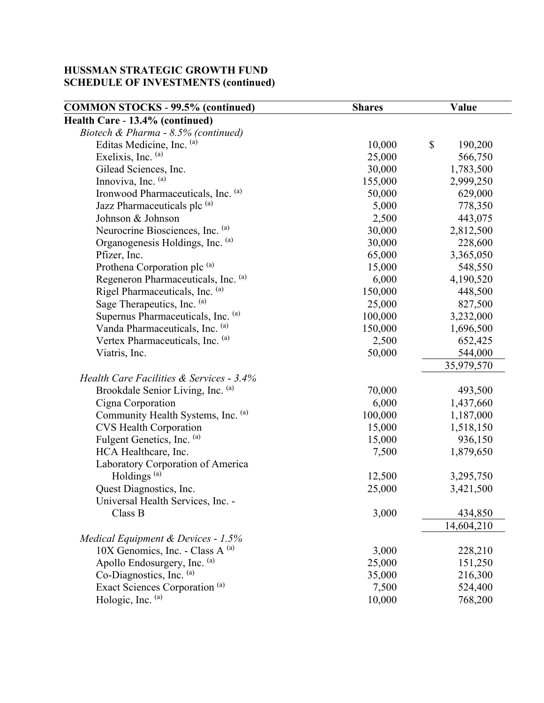| <b>COMMON STOCKS - 99.5% (continued)</b>  | <b>Shares</b> | Value         |  |
|-------------------------------------------|---------------|---------------|--|
| Health Care - 13.4% (continued)           |               |               |  |
| Biotech & Pharma - 8.5% (continued)       |               |               |  |
| Editas Medicine, Inc. (a)                 | 10,000        | \$<br>190,200 |  |
| Exelixis, Inc. (a)                        | 25,000        | 566,750       |  |
| Gilead Sciences, Inc.                     | 30,000        | 1,783,500     |  |
| Innoviva, Inc. (a)                        | 155,000       | 2,999,250     |  |
| Ironwood Pharmaceuticals, Inc. (a)        | 50,000        | 629,000       |  |
| Jazz Pharmaceuticals plc (a)              | 5,000         | 778,350       |  |
| Johnson & Johnson                         | 2,500         | 443,075       |  |
| Neurocrine Biosciences, Inc. (a)          | 30,000        | 2,812,500     |  |
| Organogenesis Holdings, Inc. (a)          | 30,000        | 228,600       |  |
| Pfizer, Inc.                              | 65,000        | 3,365,050     |  |
| Prothena Corporation plc <sup>(a)</sup>   | 15,000        | 548,550       |  |
| Regeneron Pharmaceuticals, Inc. (a)       | 6,000         | 4,190,520     |  |
| Rigel Pharmaceuticals, Inc. (a)           | 150,000       | 448,500       |  |
| Sage Therapeutics, Inc. (a)               | 25,000        | 827,500       |  |
| Supernus Pharmaceuticals, Inc. (a)        | 100,000       | 3,232,000     |  |
| Vanda Pharmaceuticals, Inc. (a)           | 150,000       | 1,696,500     |  |
| Vertex Pharmaceuticals, Inc. (a)          | 2,500         | 652,425       |  |
| Viatris, Inc.                             | 50,000        | 544,000       |  |
|                                           |               | 35,979,570    |  |
| Health Care Facilities & Services - 3.4%  |               |               |  |
| Brookdale Senior Living, Inc. (a)         | 70,000        | 493,500       |  |
| Cigna Corporation                         | 6,000         | 1,437,660     |  |
| Community Health Systems, Inc. (a)        | 100,000       | 1,187,000     |  |
| <b>CVS Health Corporation</b>             | 15,000        | 1,518,150     |  |
| Fulgent Genetics, Inc. (a)                | 15,000        | 936,150       |  |
| HCA Healthcare, Inc.                      | 7,500         | 1,879,650     |  |
| Laboratory Corporation of America         |               |               |  |
| Holdings <sup>(a)</sup>                   | 12,500        | 3,295,750     |  |
| Quest Diagnostics, Inc.                   | 25,000        | 3,421,500     |  |
| Universal Health Services, Inc. -         |               |               |  |
| Class B                                   | 3,000         | 434,850       |  |
|                                           |               | 14,604,210    |  |
| Medical Equipment & Devices - 1.5%        |               |               |  |
| $10X$ Genomics, Inc. - Class A $^{(a)}$   | 3,000         | 228,210       |  |
| Apollo Endosurgery, Inc. (a)              | 25,000        | 151,250       |  |
| Co-Diagnostics, Inc. (a)                  | 35,000        | 216,300       |  |
| Exact Sciences Corporation <sup>(a)</sup> | 7,500         | 524,400       |  |
| Hologic, Inc. (a)                         | 10,000        | 768,200       |  |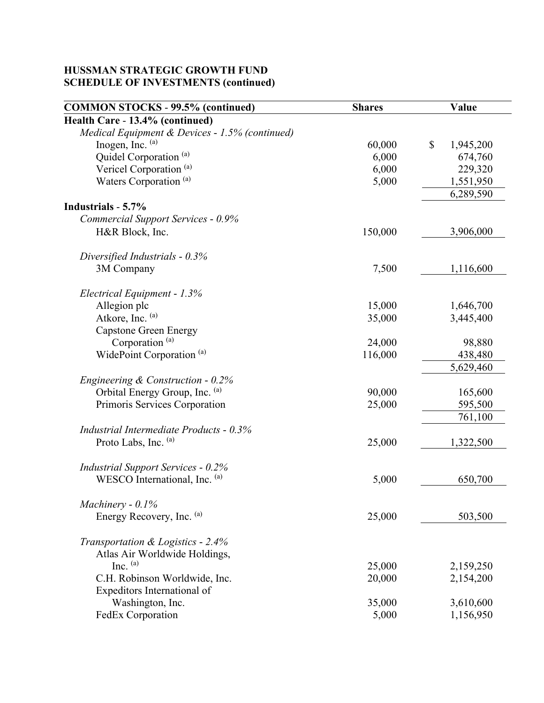| <b>COMMON STOCKS - 99.5% (continued)</b>       | <b>Shares</b> | Value           |
|------------------------------------------------|---------------|-----------------|
| Health Care - 13.4% (continued)                |               |                 |
| Medical Equipment & Devices - 1.5% (continued) |               |                 |
| Inogen, Inc. (a)                               | 60,000        | \$<br>1,945,200 |
| Quidel Corporation <sup>(a)</sup>              | 6,000         | 674,760         |
| Vericel Corporation <sup>(a)</sup>             | 6,000         | 229,320         |
| Waters Corporation <sup>(a)</sup>              | 5,000         | 1,551,950       |
|                                                |               | 6,289,590       |
| Industrials - 5.7%                             |               |                 |
| <b>Commercial Support Services - 0.9%</b>      |               |                 |
| H&R Block, Inc.                                | 150,000       | 3,906,000       |
| Diversified Industrials - $0.3\%$              |               |                 |
| 3M Company                                     | 7,500         | 1,116,600       |
| Electrical Equipment - 1.3%                    |               |                 |
| Allegion plc                                   | 15,000        | 1,646,700       |
| Atkore, Inc. (a)                               | 35,000        | 3,445,400       |
| <b>Capstone Green Energy</b>                   |               |                 |
| Corporation <sup>(a)</sup>                     | 24,000        | 98,880          |
| WidePoint Corporation <sup>(a)</sup>           | 116,000       | 438,480         |
|                                                |               | 5,629,460       |
| Engineering $& Construction - 0.2\%$           |               |                 |
| Orbital Energy Group, Inc. (a)                 | 90,000        | 165,600         |
| Primoris Services Corporation                  | 25,000        | 595,500         |
|                                                |               | 761,100         |
| Industrial Intermediate Products - 0.3%        |               |                 |
| Proto Labs, Inc. (a)                           | 25,000        | 1,322,500       |
| <b>Industrial Support Services - 0.2%</b>      |               |                 |
| WESCO International, Inc. (a)                  | 5,000         | 650,700         |
| Machinery - $0.1\%$                            |               |                 |
| Energy Recovery, Inc. (a)                      | 25,000        | 503,500         |
|                                                |               |                 |
| Transportation & Logistics - 2.4%              |               |                 |
| Atlas Air Worldwide Holdings,                  |               |                 |
| Inc. $(a)$                                     | 25,000        | 2,159,250       |
| C.H. Robinson Worldwide, Inc.                  | 20,000        | 2,154,200       |
| Expeditors International of                    |               |                 |
| Washington, Inc.                               | 35,000        | 3,610,600       |
| FedEx Corporation                              | 5,000         | 1,156,950       |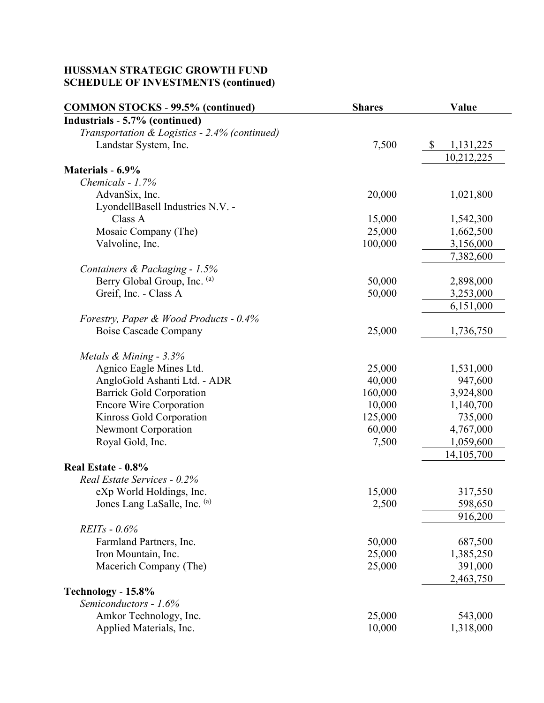| <b>COMMON STOCKS - 99.5% (continued)</b>      | <b>Shares</b> | Value           |
|-----------------------------------------------|---------------|-----------------|
| Industrials - 5.7% (continued)                |               |                 |
| Transportation & Logistics - 2.4% (continued) |               |                 |
| Landstar System, Inc.                         | 7,500         | \$<br>1,131,225 |
|                                               |               | 10,212,225      |
| Materials - 6.9%                              |               |                 |
| Chemicals - 1.7%                              |               |                 |
| AdvanSix, Inc.                                | 20,000        | 1,021,800       |
| LyondellBasell Industries N.V. -              |               |                 |
| Class A                                       | 15,000        | 1,542,300       |
| Mosaic Company (The)                          | 25,000        | 1,662,500       |
| Valvoline, Inc.                               | 100,000       | 3,156,000       |
|                                               |               | 7,382,600       |
| Containers & Packaging - 1.5%                 |               |                 |
| Berry Global Group, Inc. (a)                  | 50,000        | 2,898,000       |
| Greif, Inc. - Class A                         | 50,000        | 3,253,000       |
|                                               |               | 6,151,000       |
| Forestry, Paper & Wood Products - 0.4%        |               |                 |
| Boise Cascade Company                         | 25,000        | 1,736,750       |
| Metals & Mining - 3.3%                        |               |                 |
| Agnico Eagle Mines Ltd.                       | 25,000        | 1,531,000       |
| AngloGold Ashanti Ltd. - ADR                  | 40,000        | 947,600         |
| <b>Barrick Gold Corporation</b>               | 160,000       | 3,924,800       |
| <b>Encore Wire Corporation</b>                | 10,000        | 1,140,700       |
| Kinross Gold Corporation                      | 125,000       | 735,000         |
| Newmont Corporation                           | 60,000        | 4,767,000       |
| Royal Gold, Inc.                              | 7,500         | 1,059,600       |
|                                               |               | 14,105,700      |
| Real Estate - 0.8%                            |               |                 |
| Real Estate Services - 0.2%                   |               |                 |
| eXp World Holdings, Inc.                      | 15,000        | 317,550         |
| Jones Lang LaSalle, Inc. (a)                  | 2,500         | 598,650         |
|                                               |               | 916,200         |
| $REITs - 0.6%$                                |               |                 |
| Farmland Partners, Inc.                       | 50,000        | 687,500         |
| Iron Mountain, Inc.                           | 25,000        | 1,385,250       |
| Macerich Company (The)                        | 25,000        | 391,000         |
|                                               |               | 2,463,750       |
| Technology - 15.8%                            |               |                 |
| Semiconductors - 1.6%                         |               |                 |
| Amkor Technology, Inc.                        | 25,000        | 543,000         |
| Applied Materials, Inc.                       | 10,000        | 1,318,000       |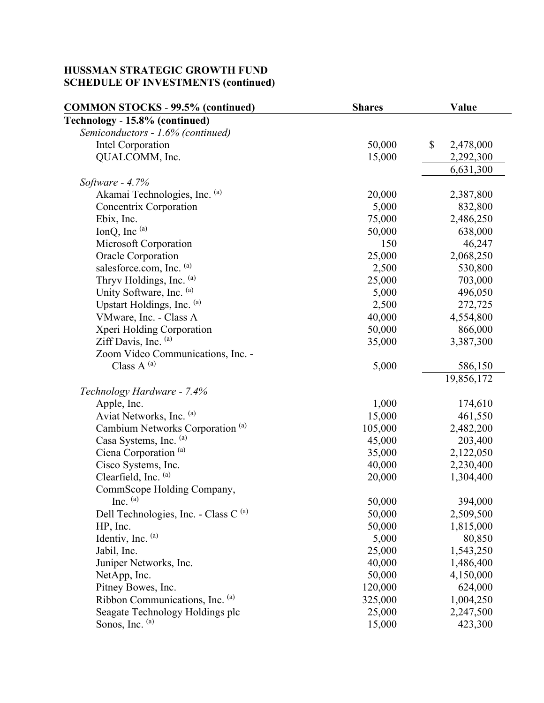| <b>COMMON STOCKS - 99.5% (continued)</b>         | <b>Shares</b> | Value           |  |
|--------------------------------------------------|---------------|-----------------|--|
| Technology - 15.8% (continued)                   |               |                 |  |
| Semiconductors - 1.6% (continued)                |               |                 |  |
| <b>Intel Corporation</b>                         | 50,000        | \$<br>2,478,000 |  |
| QUALCOMM, Inc.                                   | 15,000        | 2,292,300       |  |
|                                                  |               | 6,631,300       |  |
| Software - 4.7%                                  |               |                 |  |
| Akamai Technologies, Inc. (a)                    | 20,000        | 2,387,800       |  |
| <b>Concentrix Corporation</b>                    | 5,000         | 832,800         |  |
| Ebix, Inc.                                       | 75,000        | 2,486,250       |  |
| IonQ, Inc (a)                                    | 50,000        | 638,000         |  |
| Microsoft Corporation                            | 150           | 46,247          |  |
| Oracle Corporation                               | 25,000        | 2,068,250       |  |
| salesforce.com, Inc. (a)                         | 2,500         | 530,800         |  |
| Thryv Holdings, Inc. (a)                         | 25,000        | 703,000         |  |
| Unity Software, Inc. (a)                         | 5,000         | 496,050         |  |
| Upstart Holdings, Inc. (a)                       | 2,500         | 272,725         |  |
| VMware, Inc. - Class A                           | 40,000        | 4,554,800       |  |
| Xperi Holding Corporation                        | 50,000        | 866,000         |  |
| Ziff Davis, Inc. (a)                             | 35,000        | 3,387,300       |  |
| Zoom Video Communications, Inc. -                |               |                 |  |
| Class $A^{(a)}$                                  | 5,000         | 586,150         |  |
|                                                  |               | 19,856,172      |  |
| Technology Hardware - 7.4%                       |               |                 |  |
| Apple, Inc.                                      | 1,000         | 174,610         |  |
| Aviat Networks, Inc. (a)                         | 15,000        | 461,550         |  |
| Cambium Networks Corporation <sup>(a)</sup>      | 105,000       | 2,482,200       |  |
| Casa Systems, Inc. (a)                           | 45,000        | 203,400         |  |
| Ciena Corporation <sup>(a)</sup>                 | 35,000        | 2,122,050       |  |
| Cisco Systems, Inc.                              | 40,000        | 2,230,400       |  |
| Clearfield, Inc. (a)                             | 20,000        | 1,304,400       |  |
| CommScope Holding Company,                       |               |                 |  |
| Inc. $(a)$                                       | 50,000        | 394,000         |  |
| Dell Technologies, Inc. - Class C <sup>(a)</sup> | 50,000        | 2,509,500       |  |
| HP, Inc.                                         | 50,000        | 1,815,000       |  |
| Identiv, Inc. (a)                                | 5,000         | 80,850          |  |
| Jabil, Inc.                                      | 25,000        | 1,543,250       |  |
| Juniper Networks, Inc.                           | 40,000        | 1,486,400       |  |
| NetApp, Inc.                                     | 50,000        | 4,150,000       |  |
| Pitney Bowes, Inc.                               | 120,000       | 624,000         |  |
| Ribbon Communications, Inc. (a)                  | 325,000       | 1,004,250       |  |
| Seagate Technology Holdings plc                  | 25,000        | 2,247,500       |  |
| Sonos, Inc. (a)                                  | 15,000        | 423,300         |  |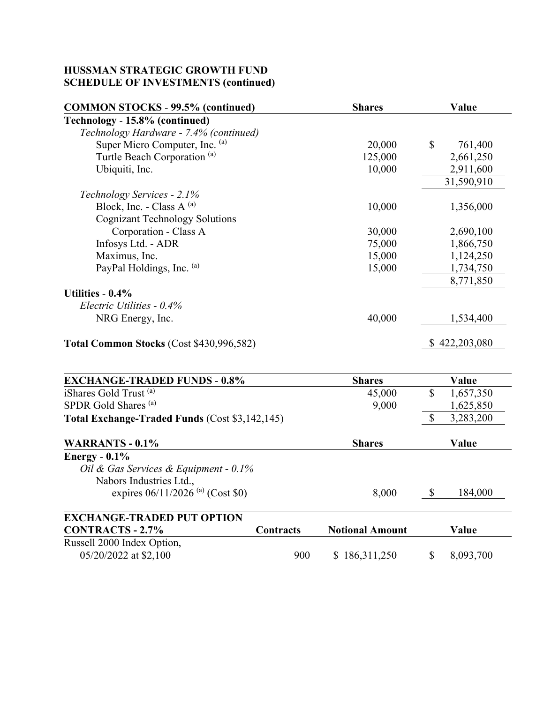| <b>COMMON STOCKS - 99.5% (continued)</b>       |           | <b>Shares</b>          |              | Value         |
|------------------------------------------------|-----------|------------------------|--------------|---------------|
| Technology - 15.8% (continued)                 |           |                        |              |               |
| Technology Hardware - 7.4% (continued)         |           |                        |              |               |
| Super Micro Computer, Inc. (a)                 |           | 20,000                 | \$           | 761,400       |
| Turtle Beach Corporation <sup>(a)</sup>        |           | 125,000                |              | 2,661,250     |
| Ubiquiti, Inc.                                 |           | 10,000                 |              | 2,911,600     |
|                                                |           |                        |              | 31,590,910    |
| Technology Services - 2.1%                     |           |                        |              |               |
| Block, Inc. - Class A (a)                      |           | 10,000                 |              | 1,356,000     |
| <b>Cognizant Technology Solutions</b>          |           |                        |              |               |
| Corporation - Class A                          |           | 30,000                 |              | 2,690,100     |
| Infosys Ltd. - ADR                             |           | 75,000                 |              | 1,866,750     |
| Maximus, Inc.                                  |           | 15,000                 |              | 1,124,250     |
| PayPal Holdings, Inc. (a)                      |           | 15,000                 |              | 1,734,750     |
|                                                |           |                        |              | 8,771,850     |
| Utilities - 0.4%                               |           |                        |              |               |
| Electric Utilities - 0.4%                      |           |                        |              |               |
| NRG Energy, Inc.                               |           | 40,000                 |              | 1,534,400     |
| Total Common Stocks (Cost \$430,996,582)       |           |                        |              | \$422,203,080 |
|                                                |           |                        |              |               |
| <b>EXCHANGE-TRADED FUNDS - 0.8%</b>            |           | <b>Shares</b>          |              | <b>Value</b>  |
| iShares Gold Trust <sup>(a)</sup>              |           | 45,000                 | $\mathbb{S}$ | 1,657,350     |
| SPDR Gold Shares <sup>(a)</sup>                |           | 9,000                  |              | 1,625,850     |
| Total Exchange-Traded Funds (Cost \$3,142,145) |           |                        | \$           | 3,283,200     |
| <b>WARRANTS - 0.1%</b>                         |           | <b>Shares</b>          |              | Value         |
| Energy - $0.1\%$                               |           |                        |              |               |
| Oil & Gas Services & Equipment - 0.1%          |           |                        |              |               |
| Nabors Industries Ltd.,                        |           |                        |              |               |
| expires $06/11/2026$ <sup>(a)</sup> (Cost \$0) |           | 8,000                  | \$           | 184,000       |
| <b>EXCHANGE-TRADED PUT OPTION</b>              |           |                        |              |               |
| <b>CONTRACTS - 2.7%</b>                        | Contracts | <b>Notional Amount</b> |              | Value         |
| Russell 2000 Index Option,                     |           |                        |              |               |
| 05/20/2022 at \$2,100                          | 900       | \$186,311,250          | \$           | 8,093,700     |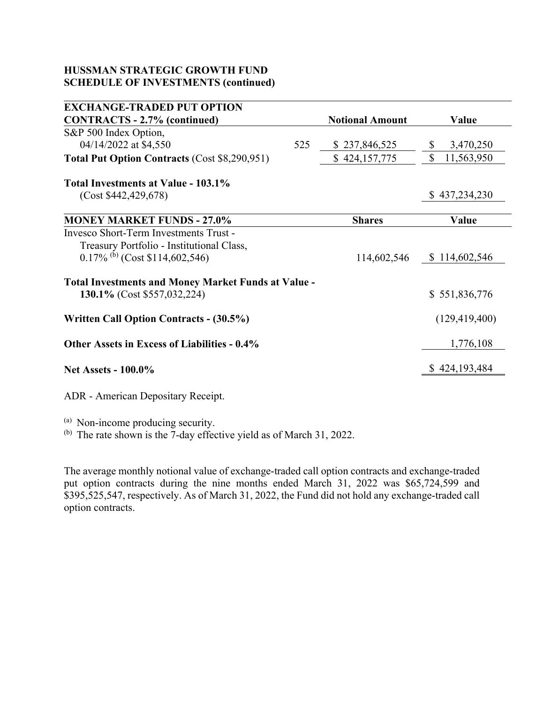| <b>EXCHANGE-TRADED PUT OPTION</b>                          |     |                        |                           |
|------------------------------------------------------------|-----|------------------------|---------------------------|
| <b>CONTRACTS - 2.7% (continued)</b>                        |     | <b>Notional Amount</b> | Value                     |
| S&P 500 Index Option,                                      |     |                        |                           |
| 04/14/2022 at \$4,550                                      | 525 | \$237,846,525          | 3,470,250<br>$\mathbb{S}$ |
| <b>Total Put Option Contracts (Cost \$8,290,951)</b>       |     | \$424,157,775          | \$<br>11,563,950          |
| Total Investments at Value - 103.1%                        |     |                        |                           |
| (Cost \$442,429,678)                                       |     |                        | \$437,234,230             |
|                                                            |     |                        |                           |
| <b>MONEY MARKET FUNDS - 27.0%</b>                          |     | <b>Shares</b>          | Value                     |
| Invesco Short-Term Investments Trust -                     |     |                        |                           |
| Treasury Portfolio - Institutional Class,                  |     |                        |                           |
| $0.17\%$ (b) (Cost \$114,602,546)                          |     | 114,602,546            | \$114,602,546             |
| <b>Total Investments and Money Market Funds at Value -</b> |     |                        |                           |
| 130.1% (Cost \$557,032,224)                                |     |                        | \$551,836,776             |
| <b>Written Call Option Contracts - (30.5%)</b>             |     |                        | (129, 419, 400)           |
| <b>Other Assets in Excess of Liabilities - 0.4%</b>        |     |                        | 1,776,108                 |
| <b>Net Assets - 100.0%</b>                                 |     |                        | \$424,193,484             |
|                                                            |     |                        |                           |

ADR - American Depositary Receipt.

 $\overset{(b)}{\sim}$  The rate shown is the 7-day effective yield as of March 31, 2022.

The average monthly notional value of exchange-traded call option contracts and exchange-traded put option contracts during the nine months ended March 31, 2022 was \$65,724,599 and \$395,525,547, respectively. As of March 31, 2022, the Fund did not hold any exchange-traded call option contracts.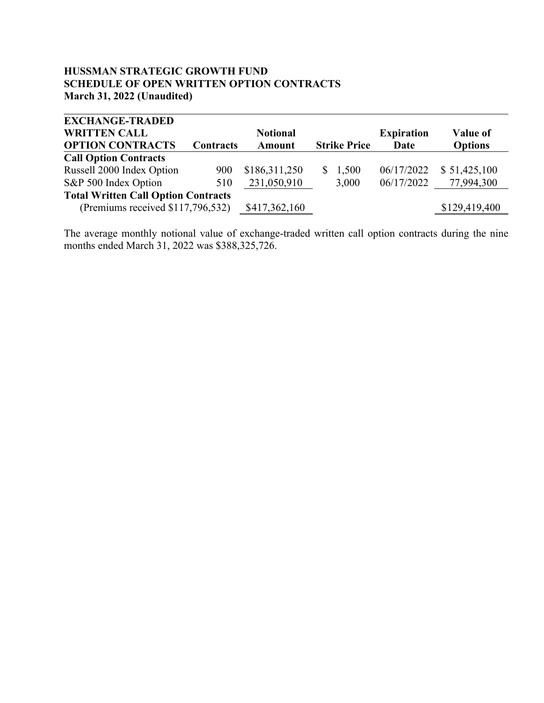#### **HUSSMAN STRATEGIC GROWTH FUND SCHEDULE OF OPEN WRITTEN OPTION CONTRACTS March 31, 2022 (Unaudited)**

| <b>EXCHANGE-TRADED</b>                     |           |                 |                     |                   |                |
|--------------------------------------------|-----------|-----------------|---------------------|-------------------|----------------|
| <b>WRITTEN CALL</b>                        |           | <b>Notional</b> |                     | <b>Expiration</b> | Value of       |
| <b>OPTION CONTRACTS</b>                    | Contracts | <b>Amount</b>   | <b>Strike Price</b> | Date              | <b>Options</b> |
| <b>Call Option Contracts</b>               |           |                 |                     |                   |                |
| Russell 2000 Index Option                  | 900       | \$186,311,250   | 1,500<br>S.         | 06/17/2022        | \$51,425,100   |
| S&P 500 Index Option                       | 510       | 231,050,910     | 3,000               | 06/17/2022        | 77,994,300     |
| <b>Total Written Call Option Contracts</b> |           |                 |                     |                   |                |
| (Premiums received \$117,796,532)          |           | \$417,362,160   |                     |                   | \$129,419,400  |

The average monthly notional value of exchange-traded written call option contracts during the nine months ended March 31, 2022 was \$388,325,726.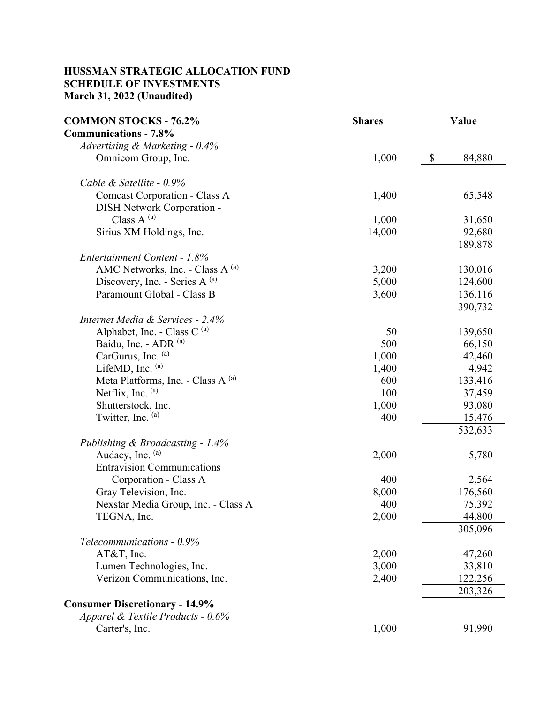### **HUSSMAN STRATEGIC ALLOCATION FUND SCHEDULE OF INVESTMENTS March 31, 2022 (Unaudited)**

| <b>COMMON STOCKS - 76.2%</b>          | <b>Shares</b> | Value |         |
|---------------------------------------|---------------|-------|---------|
| <b>Communications - 7.8%</b>          |               |       |         |
| Advertising & Marketing - 0.4%        |               |       |         |
| Omnicom Group, Inc.                   | 1,000         | \$    | 84,880  |
| Cable & Satellite - 0.9%              |               |       |         |
| Comcast Corporation - Class A         | 1,400         |       | 65,548  |
| DISH Network Corporation -            |               |       |         |
| Class A $^{(a)}$                      | 1,000         |       | 31,650  |
| Sirius XM Holdings, Inc.              | 14,000        |       | 92,680  |
|                                       |               |       | 189,878 |
| Entertainment Content - 1.8%          |               |       |         |
| AMC Networks, Inc. - Class A (a)      | 3,200         |       | 130,016 |
| Discovery, Inc. - Series A (a)        | 5,000         |       | 124,600 |
| Paramount Global - Class B            | 3,600         |       | 136,116 |
|                                       |               |       | 390,732 |
| Internet Media & Services - 2.4%      |               |       |         |
| Alphabet, Inc. - Class C $^{(a)}$     | 50            |       | 139,650 |
| Baidu, Inc. - ADR (a)                 | 500           |       | 66,150  |
| CarGurus, Inc. (a)                    | 1,000         |       | 42,460  |
| LifeMD, Inc. (a)                      | 1,400         |       | 4,942   |
| Meta Platforms, Inc. - Class A (a)    | 600           |       | 133,416 |
| Netflix, Inc. (a)                     | 100           |       | 37,459  |
| Shutterstock, Inc.                    | 1,000         |       | 93,080  |
| Twitter, Inc. (a)                     | 400           |       | 15,476  |
|                                       |               |       | 532,633 |
| Publishing & Broadcasting - 1.4%      |               |       |         |
| Audacy, Inc. (a)                      | 2,000         |       | 5,780   |
| <b>Entravision Communications</b>     |               |       |         |
| Corporation - Class A                 | 400           |       | 2,564   |
| Gray Television, Inc.                 | 8,000         |       | 176,560 |
| Nexstar Media Group, Inc. - Class A   | 400           |       | 75,392  |
| TEGNA, Inc.                           | 2,000         |       | 44,800  |
|                                       |               |       | 305,096 |
| Telecommunications - 0.9%             |               |       |         |
| AT&T, Inc.                            | 2,000         |       | 47,260  |
| Lumen Technologies, Inc.              | 3,000         |       | 33,810  |
| Verizon Communications, Inc.          | 2,400         |       | 122,256 |
|                                       |               |       | 203,326 |
| <b>Consumer Discretionary - 14.9%</b> |               |       |         |
| Apparel & Textile Products - 0.6%     |               |       |         |
| Carter's, Inc.                        | 1,000         |       | 91,990  |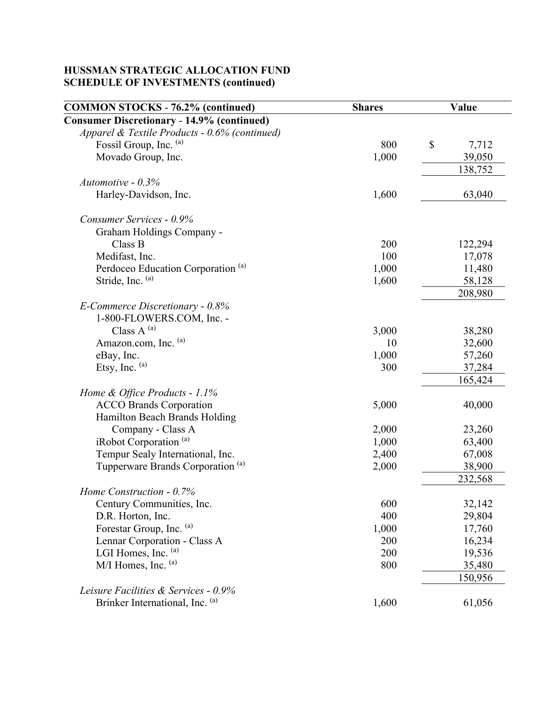| <b>COMMON STOCKS - 76.2% (continued)</b>                     | <b>Shares</b> | Value       |  |
|--------------------------------------------------------------|---------------|-------------|--|
| <b>Consumer Discretionary - 14.9% (continued)</b>            |               |             |  |
| Apparel & Textile Products - 0.6% (continued)                |               |             |  |
| Fossil Group, Inc. (a)                                       | 800           | \$<br>7,712 |  |
| Movado Group, Inc.                                           | 1,000         | 39,050      |  |
|                                                              |               | 138,752     |  |
| Automotive - $0.3\%$                                         |               |             |  |
| Harley-Davidson, Inc.                                        | 1,600         | 63,040      |  |
| Consumer Services - 0.9%                                     |               |             |  |
| Graham Holdings Company -                                    |               |             |  |
| Class B                                                      | 200           | 122,294     |  |
| Medifast, Inc.                                               | 100           | 17,078      |  |
| Perdoceo Education Corporation <sup>(a)</sup>                | 1,000         | 11,480      |  |
| Stride, Inc. (a)                                             | 1,600         | 58,128      |  |
|                                                              |               | 208,980     |  |
| E-Commerce Discretionary - 0.8%<br>1-800-FLOWERS.COM, Inc. - |               |             |  |
| Class $A^{(a)}$                                              | 3,000         | 38,280      |  |
| Amazon.com, Inc. (a)                                         | 10            | 32,600      |  |
| eBay, Inc.                                                   | 1,000         | 57,260      |  |
| Etsy, Inc. $(a)$                                             | 300           | 37,284      |  |
|                                                              |               | 165,424     |  |
|                                                              |               |             |  |
| Home & Office Products - 1.1%                                |               | 40,000      |  |
| <b>ACCO Brands Corporation</b>                               | 5,000         |             |  |
| Hamilton Beach Brands Holding<br>Company - Class A           | 2,000         | 23,260      |  |
| iRobot Corporation <sup>(a)</sup>                            | 1,000         | 63,400      |  |
| Tempur Sealy International, Inc.                             | 2,400         | 67,008      |  |
| Tupperware Brands Corporation <sup>(a)</sup>                 | 2,000         | 38,900      |  |
|                                                              |               |             |  |
|                                                              |               | 232,568     |  |
| Home Construction - 0.7%                                     | 600           |             |  |
| Century Communities, Inc.<br>D.R. Horton, Inc.               | 400           | 32,142      |  |
| Forestar Group, Inc. (a)                                     |               | 29,804      |  |
|                                                              | 1,000         | 17,760      |  |
| Lennar Corporation - Class A                                 | 200           | 16,234      |  |
| LGI Homes, Inc. $(a)$<br>$M/I$ Homes, Inc. $(a)$             | 200           | 19,536      |  |
|                                                              | 800           | 35,480      |  |
|                                                              |               | 150,956     |  |
| Leisure Facilities & Services - 0.9%                         |               |             |  |
| Brinker International, Inc. (a)                              | 1,600         | 61,056      |  |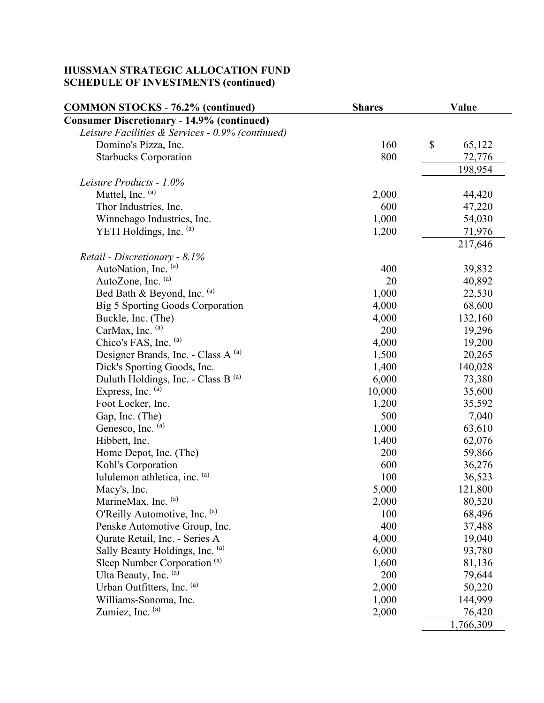| <b>COMMON STOCKS - 76.2% (continued)</b>          | <b>Shares</b> | Value        |  |
|---------------------------------------------------|---------------|--------------|--|
| <b>Consumer Discretionary - 14.9% (continued)</b> |               |              |  |
| Leisure Facilities & Services - 0.9% (continued)  |               |              |  |
| Domino's Pizza, Inc.                              | 160           | \$<br>65,122 |  |
| <b>Starbucks Corporation</b>                      | 800           | 72,776       |  |
|                                                   |               | 198,954      |  |
| Leisure Products - 1.0%                           |               |              |  |
| Mattel, Inc. (a)                                  | 2,000         | 44,420       |  |
| Thor Industries, Inc.                             | 600           | 47,220       |  |
| Winnebago Industries, Inc.                        | 1,000         | 54,030       |  |
| YETI Holdings, Inc. (a)                           | 1,200         | 71,976       |  |
|                                                   |               | 217,646      |  |
| Retail - Discretionary - 8.1%                     |               |              |  |
| AutoNation, Inc. (a)                              | 400           | 39,832       |  |
| AutoZone, Inc. (a)                                | 20            | 40,892       |  |
| Bed Bath & Beyond, Inc. (a)                       | 1,000         | 22,530       |  |
| Big 5 Sporting Goods Corporation                  | 4,000         | 68,600       |  |
| Buckle, Inc. (The)                                | 4,000         | 132,160      |  |
| CarMax, Inc. (a)                                  | 200           | 19,296       |  |
| Chico's FAS, Inc. (a)                             | 4,000         | 19,200       |  |
| Designer Brands, Inc. - Class A (a)               | 1,500         | 20,265       |  |
| Dick's Sporting Goods, Inc.                       | 1,400         | 140,028      |  |
| Duluth Holdings, Inc. - Class B (a)               | 6,000         | 73,380       |  |
| Express, Inc. (a)                                 | 10,000        | 35,600       |  |
| Foot Locker, Inc.                                 | 1,200         | 35,592       |  |
| Gap, Inc. (The)                                   | 500           | 7,040        |  |
| Genesco, Inc. (a)                                 | 1,000         | 63,610       |  |
| Hibbett, Inc.                                     | 1,400         | 62,076       |  |
| Home Depot, Inc. (The)                            | 200           | 59,866       |  |
| Kohl's Corporation                                | 600           | 36,276       |  |
| lululemon athletica, inc. (a)                     | 100           | 36,523       |  |
| Macy's, Inc.                                      | 5,000         | 121,800      |  |
| MarineMax, Inc. (a)                               | 2,000         | 80,520       |  |
| O'Reilly Automotive, Inc. (a)                     | 100           | 68,496       |  |
| Penske Automotive Group, Inc.                     | 400           | 37,488       |  |
| Qurate Retail, Inc. - Series A                    | 4,000         | 19,040       |  |
| Sally Beauty Holdings, Inc. (a)                   | 6,000         | 93,780       |  |
| Sleep Number Corporation <sup>(a)</sup>           | 1,600         | 81,136       |  |
| Ulta Beauty, Inc. (a)                             | 200           | 79,644       |  |
| Urban Outfitters, Inc. (a)                        | 2,000         | 50,220       |  |
| Williams-Sonoma, Inc.                             | 1,000         | 144,999      |  |
| Zumiez, Inc. (a)                                  | 2,000         | 76,420       |  |
|                                                   |               | 1,766,309    |  |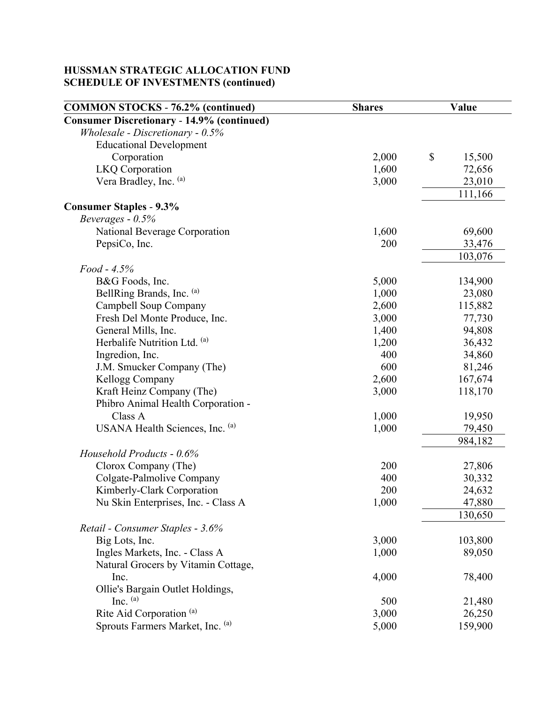| <b>COMMON STOCKS - 76.2% (continued)</b>          | <b>Shares</b> | Value        |
|---------------------------------------------------|---------------|--------------|
| <b>Consumer Discretionary - 14.9% (continued)</b> |               |              |
| Wholesale - Discretionary - 0.5%                  |               |              |
| <b>Educational Development</b>                    |               |              |
| Corporation                                       | 2,000         | \$<br>15,500 |
| <b>LKQ</b> Corporation                            | 1,600         | 72,656       |
| Vera Bradley, Inc. (a)                            | 3,000         | 23,010       |
|                                                   |               | 111,166      |
| <b>Consumer Staples - 9.3%</b>                    |               |              |
| Beverages - 0.5%                                  |               |              |
| National Beverage Corporation                     | 1,600         | 69,600       |
| PepsiCo, Inc.                                     | 200           | 33,476       |
|                                                   |               | 103,076      |
| $Food - 4.5\%$                                    |               |              |
| B&G Foods, Inc.                                   | 5,000         | 134,900      |
| BellRing Brands, Inc. (a)                         | 1,000         | 23,080       |
| Campbell Soup Company                             | 2,600         | 115,882      |
| Fresh Del Monte Produce, Inc.                     | 3,000         | 77,730       |
| General Mills, Inc.                               | 1,400         | 94,808       |
| Herbalife Nutrition Ltd. (a)                      | 1,200         | 36,432       |
| Ingredion, Inc.                                   | 400           | 34,860       |
| J.M. Smucker Company (The)                        | 600           | 81,246       |
| Kellogg Company                                   | 2,600         | 167,674      |
| Kraft Heinz Company (The)                         | 3,000         | 118,170      |
| Phibro Animal Health Corporation -                |               |              |
| Class A                                           | 1,000         | 19,950       |
| USANA Health Sciences, Inc. (a)                   | 1,000         | 79,450       |
|                                                   |               | 984,182      |
| Household Products - 0.6%                         |               |              |
| Clorox Company (The)                              | 200           | 27,806       |
| Colgate-Palmolive Company                         | 400           | 30,332       |
| Kimberly-Clark Corporation                        | 200           | 24,632       |
| Nu Skin Enterprises, Inc. - Class A               | 1,000         | 47,880       |
|                                                   |               | 130,650      |
| Retail - Consumer Staples - 3.6%                  |               |              |
| Big Lots, Inc.                                    | 3,000         | 103,800      |
| Ingles Markets, Inc. - Class A                    | 1,000         | 89,050       |
| Natural Grocers by Vitamin Cottage,               |               |              |
| Inc.                                              | 4,000         | 78,400       |
| Ollie's Bargain Outlet Holdings,                  |               |              |
| Inc. $(a)$                                        | 500           | 21,480       |
| Rite Aid Corporation <sup>(a)</sup>               | 3,000         | 26,250       |
| Sprouts Farmers Market, Inc. (a)                  | 5,000         | 159,900      |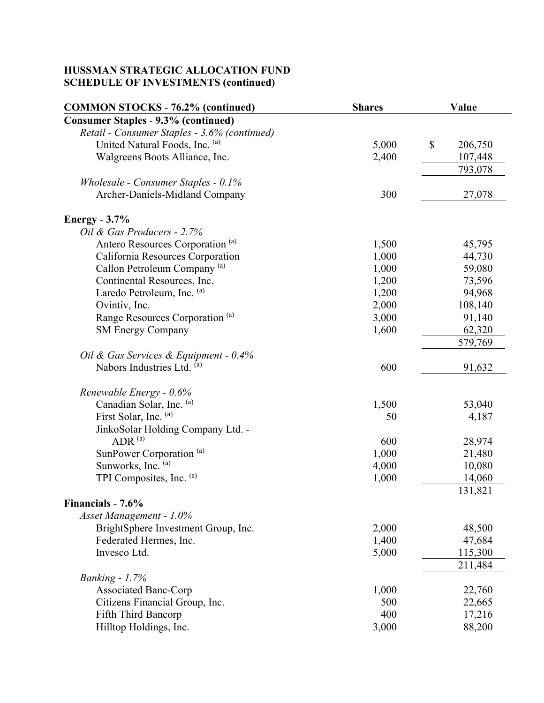| <b>COMMON STOCKS - 76.2% (continued)</b>     | <b>Shares</b> | Value         |  |
|----------------------------------------------|---------------|---------------|--|
| <b>Consumer Staples - 9.3% (continued)</b>   |               |               |  |
| Retail - Consumer Staples - 3.6% (continued) |               |               |  |
| United Natural Foods, Inc. (a)               | 5,000         | \$<br>206,750 |  |
| Walgreens Boots Alliance, Inc.               | 2,400         | 107,448       |  |
|                                              |               | 793,078       |  |
| Wholesale - Consumer Staples - 0.1%          |               |               |  |
| Archer-Daniels-Midland Company               | 300           | 27,078        |  |
| Energy $-3.7\%$                              |               |               |  |
| Oil & Gas Producers - 2.7%                   |               |               |  |
| Antero Resources Corporation <sup>(a)</sup>  | 1,500         | 45,795        |  |
| California Resources Corporation             | 1,000         | 44,730        |  |
| Callon Petroleum Company <sup>(a)</sup>      | 1,000         | 59,080        |  |
| Continental Resources, Inc.                  | 1,200         | 73,596        |  |
| Laredo Petroleum, Inc. (a)                   | 1,200         | 94,968        |  |
| Ovintiv, Inc.                                | 2,000         | 108,140       |  |
| Range Resources Corporation <sup>(a)</sup>   | 3,000         | 91,140        |  |
| <b>SM Energy Company</b>                     | 1,600         | 62,320        |  |
|                                              |               | 579,769       |  |
| Oil & Gas Services & Equipment - 0.4%        |               |               |  |
| Nabors Industries Ltd. (a)                   | 600           | 91,632        |  |
|                                              |               |               |  |
| Renewable Energy - 0.6%                      |               |               |  |
| Canadian Solar, Inc. (a)                     | 1,500         | 53,040        |  |
| First Solar, Inc. (a)                        | 50            | 4,187         |  |
| JinkoSolar Holding Company Ltd. -            |               |               |  |
| ADR $(a)$                                    | 600           | 28,974        |  |
| SunPower Corporation <sup>(a)</sup>          | 1,000         | 21,480        |  |
| Sunworks, Inc. (a)                           | 4,000         | 10,080        |  |
| TPI Composites, Inc. (a)                     | 1,000         | 14,060        |  |
|                                              |               | 131,821       |  |
| Financials - 7.6%                            |               |               |  |
| Asset Management - 1.0%                      |               |               |  |
| BrightSphere Investment Group, Inc.          | 2,000         | 48,500        |  |
| Federated Hermes, Inc.                       | 1,400         | 47,684        |  |
| Invesco Ltd.                                 | 5,000         | 115,300       |  |
|                                              |               | 211,484       |  |
| Banking - $1.7%$                             |               |               |  |
| <b>Associated Banc-Corp</b>                  | 1,000         | 22,760        |  |
| Citizens Financial Group, Inc.               | 500           | 22,665        |  |
| <b>Fifth Third Bancorp</b>                   | 400           | 17,216        |  |
| Hilltop Holdings, Inc.                       | 3,000         | 88,200        |  |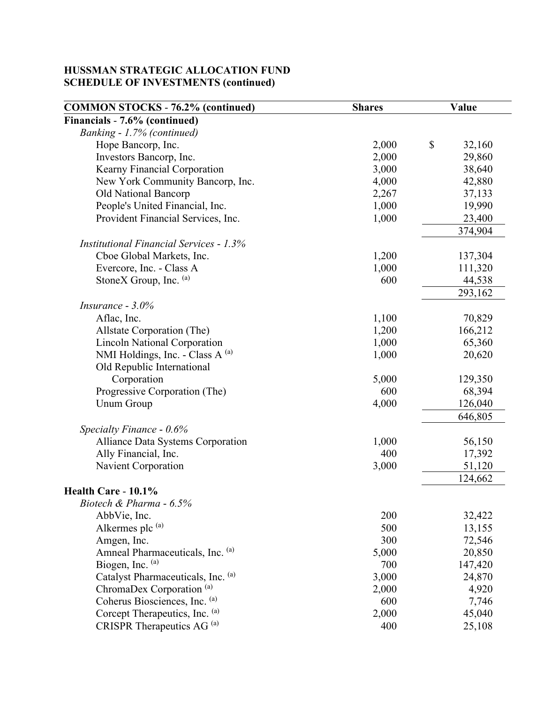| <b>COMMON STOCKS - 76.2% (continued)</b>       | <b>Shares</b> | Value        |  |
|------------------------------------------------|---------------|--------------|--|
| Financials - 7.6% (continued)                  |               |              |  |
| Banking - 1.7% (continued)                     |               |              |  |
| Hope Bancorp, Inc.                             | 2,000         | \$<br>32,160 |  |
| Investors Bancorp, Inc.                        | 2,000         | 29,860       |  |
| Kearny Financial Corporation                   | 3,000         | 38,640       |  |
| New York Community Bancorp, Inc.               | 4,000         | 42,880       |  |
| Old National Bancorp                           | 2,267         | 37,133       |  |
| People's United Financial, Inc.                | 1,000         | 19,990       |  |
| Provident Financial Services, Inc.             | 1,000         | 23,400       |  |
|                                                |               | 374,904      |  |
| <b>Institutional Financial Services - 1.3%</b> |               |              |  |
| Cboe Global Markets, Inc.                      | 1,200         | 137,304      |  |
| Evercore, Inc. - Class A                       | 1,000         | 111,320      |  |
| StoneX Group, Inc. (a)                         | 600           | 44,538       |  |
|                                                |               | 293,162      |  |
| Insurance - $3.0\%$                            |               |              |  |
| Aflac, Inc.                                    | 1,100         | 70,829       |  |
| Allstate Corporation (The)                     | 1,200         | 166,212      |  |
| <b>Lincoln National Corporation</b>            | 1,000         | 65,360       |  |
| NMI Holdings, Inc. - Class A (a)               | 1,000         | 20,620       |  |
| Old Republic International                     |               |              |  |
| Corporation                                    | 5,000         | 129,350      |  |
| Progressive Corporation (The)                  | 600           | 68,394       |  |
| <b>Unum Group</b>                              | 4,000         | 126,040      |  |
|                                                |               | 646,805      |  |
| Specialty Finance - 0.6%                       |               |              |  |
| Alliance Data Systems Corporation              | 1,000         | 56,150       |  |
| Ally Financial, Inc.                           | 400           | 17,392       |  |
| Navient Corporation                            | 3,000         | 51,120       |  |
|                                                |               | 124,662      |  |
| Health Care - 10.1%                            |               |              |  |
| Biotech & Pharma - 6.5%                        |               |              |  |
| AbbVie, Inc.                                   | 200           | 32,422       |  |
| Alkermes plc (a)                               | 500           | 13,155       |  |
| Amgen, Inc.                                    | 300           | 72,546       |  |
| Amneal Pharmaceuticals, Inc. (a)               | 5,000         | 20,850       |  |
| Biogen, Inc. (a)                               | 700           | 147,420      |  |
| Catalyst Pharmaceuticals, Inc. (a)             | 3,000         | 24,870       |  |
| ChromaDex Corporation <sup>(a)</sup>           | 2,000         | 4,920        |  |
| Coherus Biosciences, Inc. (a)                  | 600           | 7,746        |  |
| Corcept Therapeutics, Inc. (a)                 | 2,000         | 45,040       |  |
| CRISPR Therapeutics AG <sup>(a)</sup>          | 400           | 25,108       |  |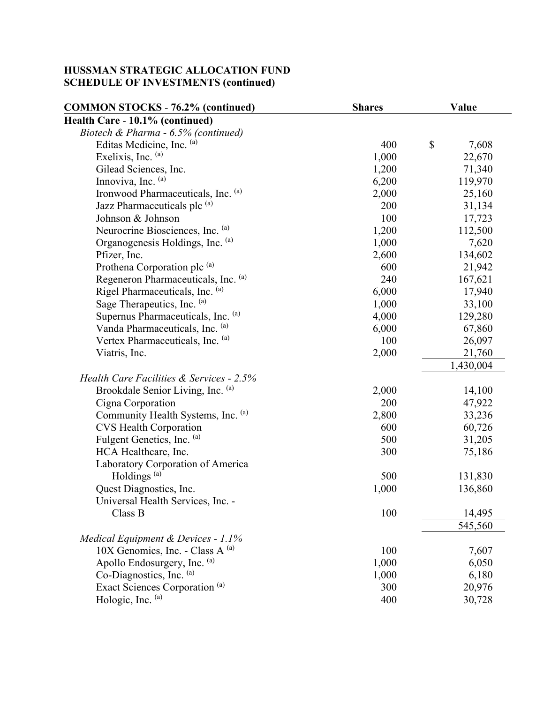|                                                        | Value  |
|--------------------------------------------------------|--------|
| Health Care - 10.1% (continued)                        |        |
| Biotech & Pharma - 6.5% (continued)                    |        |
| $\mathbb{S}$<br>Editas Medicine, Inc. (a)<br>400       | 7,608  |
| Exelixis, Inc. (a)<br>1,000                            | 22,670 |
| Gilead Sciences, Inc.<br>1,200                         | 71,340 |
| Innoviva, Inc. (a)<br>6,200<br>119,970                 |        |
| Ironwood Pharmaceuticals, Inc. (a)<br>2,000            | 25,160 |
| Jazz Pharmaceuticals plc (a)<br>200                    | 31,134 |
| Johnson & Johnson<br>100                               | 17,723 |
| Neurocrine Biosciences, Inc. (a)<br>1,200<br>112,500   |        |
| Organogenesis Holdings, Inc. (a)<br>1,000              | 7,620  |
| Pfizer, Inc.<br>134,602<br>2,600                       |        |
| Prothena Corporation plc (a)<br>600                    | 21,942 |
| Regeneron Pharmaceuticals, Inc. (a)<br>240<br>167,621  |        |
| Rigel Pharmaceuticals, Inc. (a)<br>6,000               | 17,940 |
| Sage Therapeutics, Inc. (a)<br>1,000                   | 33,100 |
| Supernus Pharmaceuticals, Inc. (a)<br>129,280<br>4,000 |        |
| Vanda Pharmaceuticals, Inc. (a)<br>6,000               | 67,860 |
| Vertex Pharmaceuticals, Inc. (a)<br>100                | 26,097 |
| 2,000<br>Viatris, Inc.                                 | 21,760 |
| 1,430,004                                              |        |
| Health Care Facilities & Services - 2.5%               |        |
| Brookdale Senior Living, Inc. (a)<br>2,000             | 14,100 |
| 200<br>Cigna Corporation                               | 47,922 |
| Community Health Systems, Inc. (a)<br>2,800            | 33,236 |
| <b>CVS Health Corporation</b><br>600                   | 60,726 |
| Fulgent Genetics, Inc. (a)<br>500                      | 31,205 |
| HCA Healthcare, Inc.<br>300                            | 75,186 |
| Laboratory Corporation of America                      |        |
| Holdings <sup>(a)</sup><br>500<br>131,830              |        |
| Quest Diagnostics, Inc.<br>1,000<br>136,860            |        |
| Universal Health Services, Inc. -                      |        |
| 100<br>Class B                                         | 14,495 |
| 545,560                                                |        |
| Medical Equipment & Devices - 1.1%                     |        |
| 10X Genomics, Inc. - Class A $^{(a)}$<br>100           | 7,607  |
| Apollo Endosurgery, Inc. (a)<br>1,000                  | 6,050  |
| Co-Diagnostics, Inc. (a)<br>1,000                      | 6,180  |
| Exact Sciences Corporation <sup>(a)</sup><br>300       | 20,976 |
| Hologic, Inc. (a)<br>400                               | 30,728 |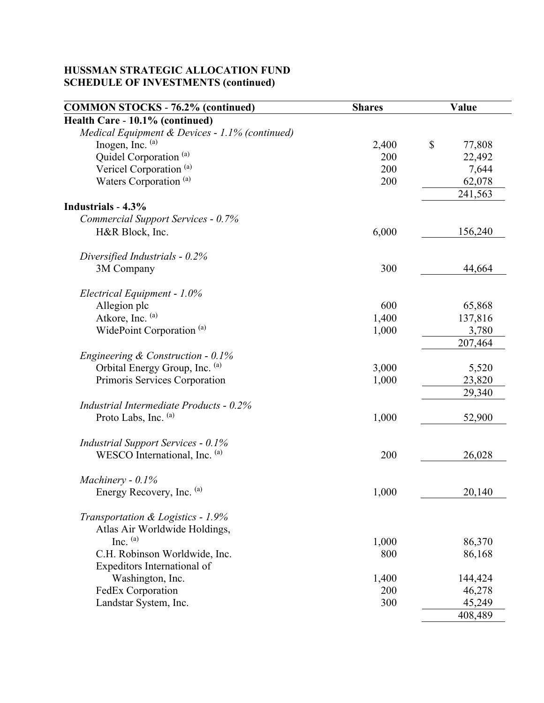| <b>COMMON STOCKS - 76.2% (continued)</b>       | <b>Shares</b> | Value        |  |
|------------------------------------------------|---------------|--------------|--|
| Health Care - 10.1% (continued)                |               |              |  |
| Medical Equipment & Devices - 1.1% (continued) |               |              |  |
| Inogen, Inc. (a)                               | 2,400         | \$<br>77,808 |  |
| Quidel Corporation <sup>(a)</sup>              | 200           | 22,492       |  |
| Vericel Corporation <sup>(a)</sup>             | 200           | 7,644        |  |
| Waters Corporation <sup>(a)</sup>              | 200           | 62,078       |  |
|                                                |               | 241,563      |  |
| Industrials - 4.3%                             |               |              |  |
| Commercial Support Services - 0.7%             |               |              |  |
| H&R Block, Inc.                                | 6,000         | 156,240      |  |
| Diversified Industrials - $0.2\%$              |               |              |  |
| 3M Company                                     | 300           | 44,664       |  |
|                                                |               |              |  |
| Electrical Equipment - 1.0%                    |               |              |  |
| Allegion plc                                   | 600           | 65,868       |  |
| Atkore, Inc. (a)                               | 1,400         | 137,816      |  |
| WidePoint Corporation <sup>(a)</sup>           | 1,000         | 3,780        |  |
|                                                |               | 207,464      |  |
| Engineering & Construction - $0.1\%$           |               |              |  |
| Orbital Energy Group, Inc. (a)                 | 3,000         | 5,520        |  |
| Primoris Services Corporation                  | 1,000         | 23,820       |  |
|                                                |               | 29,340       |  |
| Industrial Intermediate Products - 0.2%        |               |              |  |
| Proto Labs, Inc. (a)                           | 1,000         | 52,900       |  |
|                                                |               |              |  |
| <b>Industrial Support Services - 0.1%</b>      |               |              |  |
| WESCO International, Inc. (a)                  | 200           | 26,028       |  |
|                                                |               |              |  |
| Machinery - $0.1\%$                            |               |              |  |
| Energy Recovery, Inc. (a)                      | 1,000         | 20,140       |  |
|                                                |               |              |  |
| Transportation & Logistics - 1.9%              |               |              |  |
| Atlas Air Worldwide Holdings,                  |               |              |  |
| Inc. $(a)$                                     | 1,000         | 86,370       |  |
| C.H. Robinson Worldwide, Inc.                  | 800           | 86,168       |  |
| Expeditors International of                    |               |              |  |
| Washington, Inc.                               | 1,400         | 144,424      |  |
| FedEx Corporation                              | 200           | 46,278       |  |
| Landstar System, Inc.                          | 300           | 45,249       |  |
|                                                |               | 408,489      |  |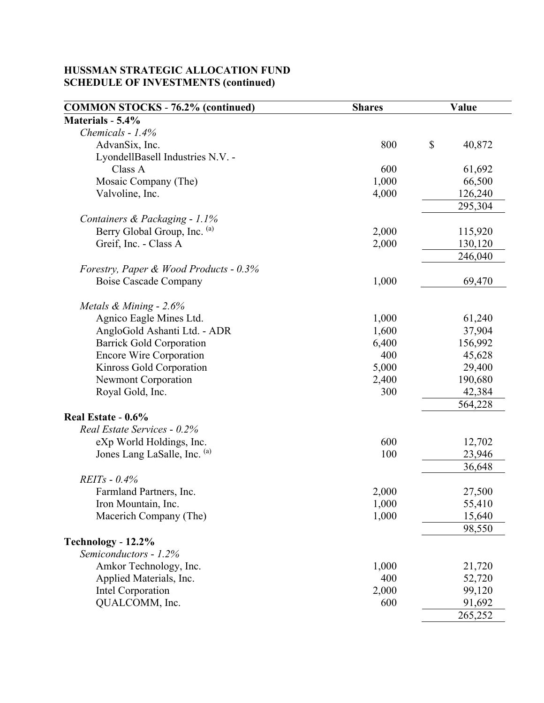| <b>COMMON STOCKS - 76.2% (continued)</b> | <b>Shares</b> | Value        |  |
|------------------------------------------|---------------|--------------|--|
| Materials - 5.4%                         |               |              |  |
| Chemicals - 1.4%                         |               |              |  |
| AdvanSix, Inc.                           | 800           | \$<br>40,872 |  |
| LyondellBasell Industries N.V. -         |               |              |  |
| Class A                                  | 600           | 61,692       |  |
| Mosaic Company (The)                     | 1,000         | 66,500       |  |
| Valvoline, Inc.                          | 4,000         | 126,240      |  |
|                                          |               | 295,304      |  |
| Containers & Packaging - 1.1%            |               |              |  |
| Berry Global Group, Inc. (a)             | 2,000         | 115,920      |  |
| Greif, Inc. - Class A                    | 2,000         | 130,120      |  |
|                                          |               | 246,040      |  |
| Forestry, Paper & Wood Products - 0.3%   |               |              |  |
| Boise Cascade Company                    | 1,000         | 69,470       |  |
|                                          |               |              |  |
| Metals $\&$ Mining - 2.6%                |               |              |  |
| Agnico Eagle Mines Ltd.                  | 1,000         | 61,240       |  |
| AngloGold Ashanti Ltd. - ADR             | 1,600         | 37,904       |  |
| <b>Barrick Gold Corporation</b>          | 6,400         | 156,992      |  |
| <b>Encore Wire Corporation</b>           | 400           | 45,628       |  |
| Kinross Gold Corporation                 | 5,000         | 29,400       |  |
| <b>Newmont Corporation</b>               | 2,400         | 190,680      |  |
| Royal Gold, Inc.                         | 300           | 42,384       |  |
|                                          |               | 564,228      |  |
| Real Estate - 0.6%                       |               |              |  |
| Real Estate Services - 0.2%              |               |              |  |
| eXp World Holdings, Inc.                 | 600           | 12,702       |  |
| Jones Lang LaSalle, Inc. (a)             | 100           | 23,946       |  |
|                                          |               | 36,648       |  |
| $REITs - 0.4%$                           |               |              |  |
| Farmland Partners, Inc.                  | 2,000         | 27,500       |  |
| Iron Mountain, Inc.                      | 1,000         | 55,410       |  |
| Macerich Company (The)                   | 1,000         | 15,640       |  |
|                                          |               | 98,550       |  |
| Technology - 12.2%                       |               |              |  |
| Semiconductors - 1.2%                    |               |              |  |
| Amkor Technology, Inc.                   | 1,000         | 21,720       |  |
| Applied Materials, Inc.                  | 400           | 52,720       |  |
| Intel Corporation                        | 2,000         | 99,120       |  |
| QUALCOMM, Inc.                           | 600           | 91,692       |  |
|                                          |               | 265,252      |  |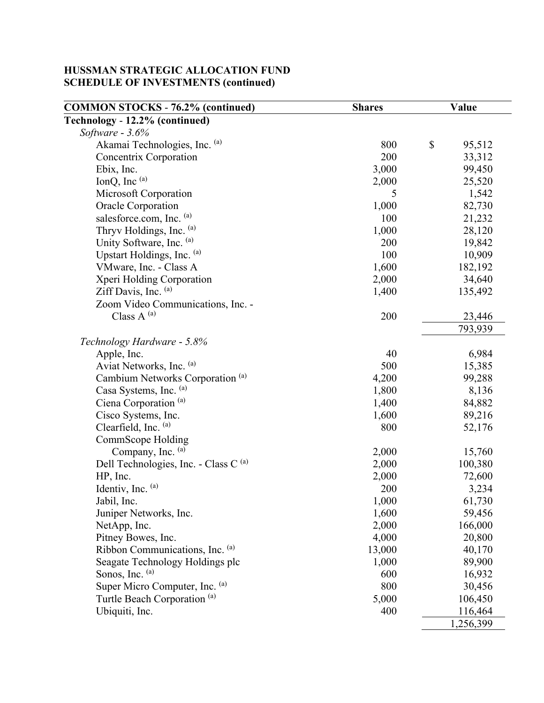| <b>COMMON STOCKS - 76.2% (continued)</b>         | <b>Shares</b> | Value        |  |
|--------------------------------------------------|---------------|--------------|--|
| Technology - 12.2% (continued)                   |               |              |  |
| Software $-3.6%$                                 |               |              |  |
| Akamai Technologies, Inc. (a)                    | 800           | \$<br>95,512 |  |
| Concentrix Corporation                           | 200           | 33,312       |  |
| Ebix, Inc.                                       | 3,000         | 99,450       |  |
| IonQ, Inc $(a)$                                  | 2,000         | 25,520       |  |
| Microsoft Corporation                            | 5             | 1,542        |  |
| Oracle Corporation                               | 1,000         | 82,730       |  |
| salesforce.com, Inc. (a)                         | 100           | 21,232       |  |
| Thryv Holdings, Inc. (a)                         | 1,000         | 28,120       |  |
| Unity Software, Inc. (a)                         | 200           | 19,842       |  |
| Upstart Holdings, Inc. (a)                       | 100           | 10,909       |  |
| VMware, Inc. - Class A                           | 1,600         | 182,192      |  |
| Xperi Holding Corporation                        | 2,000         | 34,640       |  |
| Ziff Davis, Inc. (a)                             | 1,400         | 135,492      |  |
| Zoom Video Communications, Inc. -                |               |              |  |
| Class A $^{(a)}$                                 | 200           | 23,446       |  |
|                                                  |               | 793,939      |  |
| Technology Hardware - 5.8%                       |               |              |  |
| Apple, Inc.                                      | 40            | 6,984        |  |
| Aviat Networks, Inc. (a)                         | 500           | 15,385       |  |
| Cambium Networks Corporation <sup>(a)</sup>      | 4,200         | 99,288       |  |
| Casa Systems, Inc. (a)                           | 1,800         | 8,136        |  |
| Ciena Corporation <sup>(a)</sup>                 | 1,400         | 84,882       |  |
| Cisco Systems, Inc.                              | 1,600         | 89,216       |  |
| Clearfield, Inc. (a)                             | 800           | 52,176       |  |
| <b>CommScope Holding</b>                         |               |              |  |
| Company, Inc. (a)                                | 2,000         | 15,760       |  |
| Dell Technologies, Inc. - Class C <sup>(a)</sup> | 2,000         | 100,380      |  |
| HP, Inc.                                         | 2,000         | 72,600       |  |
| Identiv, Inc. (a)                                | 200           | 3,234        |  |
| Jabil, Inc.                                      | 1,000         | 61,730       |  |
| Juniper Networks, Inc.                           | 1,600         | 59,456       |  |
| NetApp, Inc.                                     | 2,000         | 166,000      |  |
| Pitney Bowes, Inc.                               | 4,000         | 20,800       |  |
| Ribbon Communications, Inc. (a)                  | 13,000        | 40,170       |  |
| Seagate Technology Holdings plc                  | 1,000         | 89,900       |  |
| Sonos, Inc. (a)                                  | 600           | 16,932       |  |
| Super Micro Computer, Inc. (a)                   | 800           | 30,456       |  |
| Turtle Beach Corporation <sup>(a)</sup>          | 5,000         | 106,450      |  |
| Ubiquiti, Inc.                                   | 400           | 116,464      |  |
|                                                  |               | 1,256,399    |  |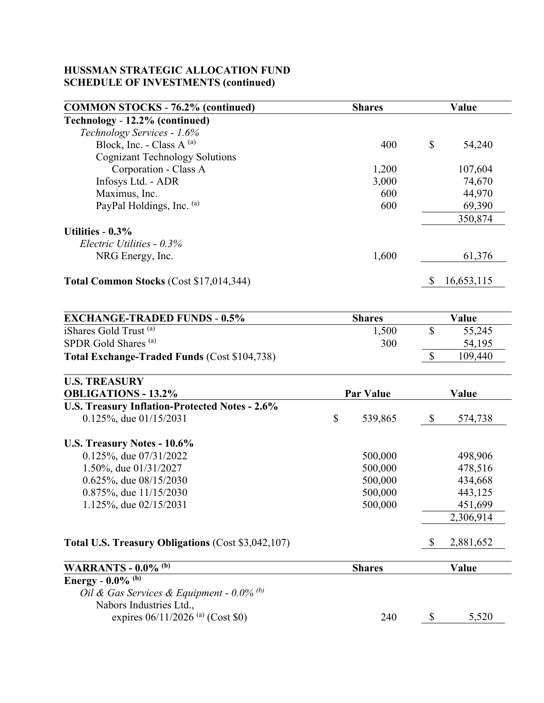| <b>COMMON STOCKS - 76.2% (continued)</b> | <b>Shares</b> | Value        |  |
|------------------------------------------|---------------|--------------|--|
| Technology - 12.2% (continued)           |               |              |  |
| Technology Services - 1.6%               |               |              |  |
| Block, Inc. - Class A $(a)$              | 400           | \$<br>54,240 |  |
| <b>Cognizant Technology Solutions</b>    |               |              |  |
| Corporation - Class A                    | 1,200         | 107,604      |  |
| Infosys Ltd. - ADR                       | 3,000         | 74,670       |  |
| Maximus, Inc.                            | 600           | 44,970       |  |
| PayPal Holdings, Inc. (a)                | 600           | 69,390       |  |
|                                          |               | 350,874      |  |
| Utilities - $0.3\%$                      |               |              |  |
| Electric Utilities $-0.3\%$              |               |              |  |
| NRG Energy, Inc.                         | 1,600         | 61,376       |  |
| Total Common Stocks (Cost \$17,014,344)  |               | 16,653,115   |  |

| <b>EXCHANGE-TRADED FUNDS - 0.5%</b>                 | <b>Shares</b> | Value   |
|-----------------------------------------------------|---------------|---------|
| iShares Gold Trust (a)                              | 1,500         | 55,245  |
| SPDR Gold Shares <sup>(a)</sup>                     | 300           | 54,195  |
| <b>Total Exchange-Traded Funds (Cost \$104,738)</b> |               | 109,440 |

| <b>U.S. TREASURY</b>                               |    |                  |               |  |
|----------------------------------------------------|----|------------------|---------------|--|
| <b>OBLIGATIONS - 13.2%</b>                         |    | <b>Par Value</b> | Value         |  |
| U.S. Treasury Inflation-Protected Notes - 2.6%     |    |                  |               |  |
| $0.125\%$ , due $01/15/2031$                       | \$ | 539,865          | \$<br>574,738 |  |
| U.S. Treasury Notes - 10.6%                        |    |                  |               |  |
| $0.125\%$ , due $07/31/2022$                       |    | 500,000          | 498,906       |  |
| 1.50%, due 01/31/2027                              |    | 500,000          | 478,516       |  |
| $0.625\%$ , due $08/15/2030$                       |    | 500,000          | 434,668       |  |
| $0.875\%$ , due $11/15/2030$                       |    | 500,000          | 443,125       |  |
| 1.125%, due 02/15/2031                             |    | 500,000          | 451,699       |  |
|                                                    |    |                  | 2,306,914     |  |
| Total U.S. Treasury Obligations (Cost \$3,042,107) |    |                  | 2,881,652     |  |
| <b>WARRANTS - 0.0% (b)</b>                         |    | <b>Shares</b>    | Value         |  |
| Energy - $0.0\%$ <sup>(b)</sup>                    |    |                  |               |  |
| Oil & Gas Services & Equipment - $0.0\%$ (b)       |    |                  |               |  |
| Nabors Industries Ltd.,                            |    |                  |               |  |

expires  $06/11/2026$ <sup>(a)</sup> (Cost \$0) 240 \$ 5,520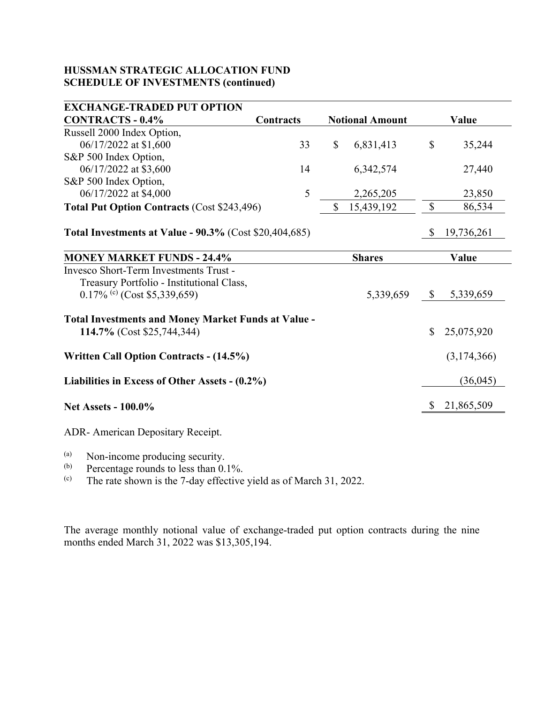| <b>EXCHANGE-TRADED PUT OPTION</b>                             |                  |              |                        |                           |             |
|---------------------------------------------------------------|------------------|--------------|------------------------|---------------------------|-------------|
| <b>CONTRACTS - 0.4%</b>                                       | <b>Contracts</b> |              | <b>Notional Amount</b> |                           | Value       |
| Russell 2000 Index Option,                                    |                  |              |                        |                           |             |
| 06/17/2022 at \$1,600                                         | 33               | $\mathbb{S}$ | 6,831,413              | $\boldsymbol{\mathsf{S}}$ | 35,244      |
| S&P 500 Index Option,                                         |                  |              |                        |                           |             |
| 06/17/2022 at \$3,600                                         | 14               |              | 6,342,574              |                           | 27,440      |
| S&P 500 Index Option,                                         |                  |              |                        |                           |             |
| 06/17/2022 at \$4,000                                         | 5                |              | 2,265,205              |                           | 23,850      |
| <b>Total Put Option Contracts (Cost \$243,496)</b>            |                  | \$           | 15,439,192             | $\boldsymbol{\mathsf{S}}$ | 86,534      |
|                                                               |                  |              |                        |                           |             |
| <b>Total Investments at Value - 90.3%</b> (Cost \$20,404,685) |                  |              |                        | \$                        | 19,736,261  |
|                                                               |                  |              |                        |                           |             |
| <b>MONEY MARKET FUNDS - 24.4%</b>                             |                  |              | <b>Shares</b>          |                           | Value       |
| Invesco Short-Term Investments Trust -                        |                  |              |                        |                           |             |
| Treasury Portfolio - Institutional Class,                     |                  |              |                        |                           |             |
| $0.17\%$ (c) (Cost \$5,339,659)                               |                  |              | 5,339,659              | $\mathbb{S}$              | 5,339,659   |
|                                                               |                  |              |                        |                           |             |
| <b>Total Investments and Money Market Funds at Value -</b>    |                  |              |                        |                           |             |
| 114.7% (Cost \$25,744,344)                                    |                  |              |                        | $\mathbb{S}$              | 25,075,920  |
| <b>Written Call Option Contracts - (14.5%)</b>                |                  |              |                        |                           | (3,174,366) |
|                                                               |                  |              |                        |                           |             |
| Liabilities in Excess of Other Assets - (0.2%)                |                  |              |                        |                           | (36,045)    |
| <b>Net Assets - 100.0%</b>                                    |                  |              |                        | <sup>8</sup>              | 21,865,509  |
|                                                               |                  |              |                        |                           |             |
| ADR-American Depositary Receipt.                              |                  |              |                        |                           |             |

(a) Non-income producing security.<br>
(b) Percentage rounds to less than 0.1%.<br>
(c) The rate shown is the 7-day effective

The rate shown is the 7-day effective yield as of March 31, 2022.

The average monthly notional value of exchange-traded put option contracts during the nine months ended March 31, 2022 was \$13,305,194.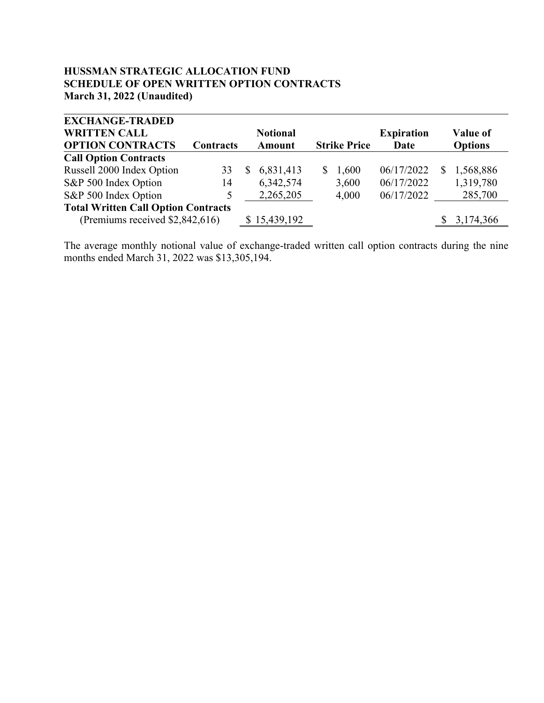#### **HUSSMAN STRATEGIC ALLOCATION FUND SCHEDULE OF OPEN WRITTEN OPTION CONTRACTS March 31, 2022 (Unaudited)**

| <b>EXCHANGE-TRADED</b>                     |           |              |                 |    |                     |                   |   |                |
|--------------------------------------------|-----------|--------------|-----------------|----|---------------------|-------------------|---|----------------|
| <b>WRITTEN CALL</b>                        |           |              | <b>Notional</b> |    |                     | <b>Expiration</b> |   | Value of       |
| <b>OPTION CONTRACTS</b>                    | Contracts |              | <b>Amount</b>   |    | <b>Strike Price</b> | Date              |   | <b>Options</b> |
| <b>Call Option Contracts</b>               |           |              |                 |    |                     |                   |   |                |
| Russell 2000 Index Option                  | 33        | <sup>S</sup> | 6,831,413       | S. | 1,600               | 06/17/2022        | S | 1,568,886      |
| S&P 500 Index Option                       | 14        |              | 6,342,574       |    | 3,600               | 06/17/2022        |   | 1,319,780      |
| S&P 500 Index Option                       | 5         |              | 2,265,205       |    | 4,000               | 06/17/2022        |   | 285,700        |
| <b>Total Written Call Option Contracts</b> |           |              |                 |    |                     |                   |   |                |
| (Premiums received \$2,842,616)            |           |              | \$15,439,192    |    |                     |                   |   | 3,174,366      |

The average monthly notional value of exchange-traded written call option contracts during the nine months ended March 31, 2022 was \$13,305,194.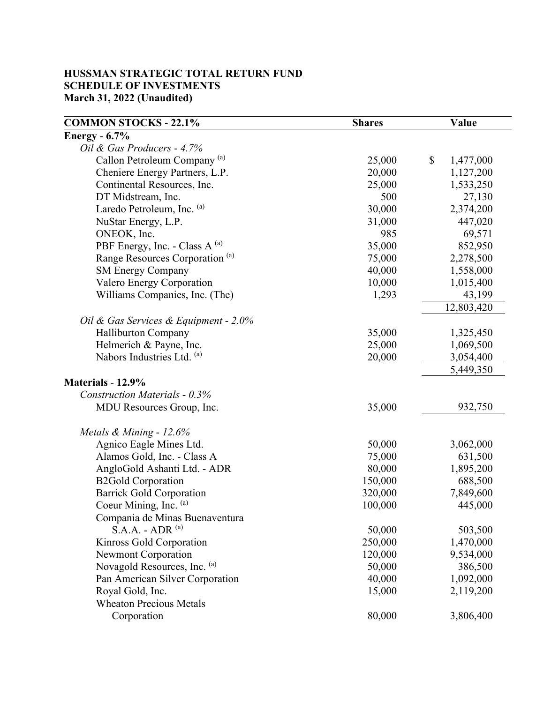## **HUSSMAN STRATEGIC TOTAL RETURN FUND SCHEDULE OF INVESTMENTS March 31, 2022 (Unaudited)**

| <b>COMMON STOCKS - 22.1%</b>               | <b>Shares</b> | Value           |
|--------------------------------------------|---------------|-----------------|
| <b>Energy</b> - 6.7%                       |               |                 |
| Oil & Gas Producers - 4.7%                 |               |                 |
| Callon Petroleum Company <sup>(a)</sup>    | 25,000        | \$<br>1,477,000 |
| Cheniere Energy Partners, L.P.             | 20,000        | 1,127,200       |
| Continental Resources, Inc.                | 25,000        | 1,533,250       |
| DT Midstream, Inc.                         | 500           | 27,130          |
| Laredo Petroleum, Inc. (a)                 | 30,000        | 2,374,200       |
| NuStar Energy, L.P.                        | 31,000        | 447,020         |
| ONEOK, Inc.                                | 985           | 69,571          |
| PBF Energy, Inc. - Class A (a)             | 35,000        | 852,950         |
| Range Resources Corporation <sup>(a)</sup> | 75,000        | 2,278,500       |
| <b>SM Energy Company</b>                   | 40,000        | 1,558,000       |
| Valero Energy Corporation                  | 10,000        | 1,015,400       |
| Williams Companies, Inc. (The)             | 1,293         | 43,199          |
|                                            |               | 12,803,420      |
| Oil & Gas Services & Equipment - 2.0%      |               |                 |
| <b>Halliburton Company</b>                 | 35,000        | 1,325,450       |
| Helmerich & Payne, Inc.                    | 25,000        | 1,069,500       |
| Nabors Industries Ltd. (a)                 | 20,000        | 3,054,400       |
|                                            |               | 5,449,350       |
| Materials - 12.9%                          |               |                 |
| <b>Construction Materials - 0.3%</b>       |               |                 |
| MDU Resources Group, Inc.                  | 35,000        | 932,750         |
|                                            |               |                 |
| Metals & Mining - 12.6%                    |               |                 |
| Agnico Eagle Mines Ltd.                    | 50,000        | 3,062,000       |
| Alamos Gold, Inc. - Class A                | 75,000        | 631,500         |
| AngloGold Ashanti Ltd. - ADR               | 80,000        | 1,895,200       |
| <b>B2Gold Corporation</b>                  | 150,000       | 688,500         |
| <b>Barrick Gold Corporation</b>            | 320,000       | 7,849,600       |
| Coeur Mining, Inc. (a)                     | 100,000       | 445,000         |
| Compania de Minas Buenaventura             |               |                 |
| $S.A.A. - ADR(a)$                          | 50,000        | 503,500         |
| Kinross Gold Corporation                   | 250,000       | 1,470,000       |
| <b>Newmont Corporation</b>                 | 120,000       | 9,534,000       |
| Novagold Resources, Inc. (a)               | 50,000        | 386,500         |
| Pan American Silver Corporation            | 40,000        | 1,092,000       |
| Royal Gold, Inc.                           | 15,000        | 2,119,200       |
| <b>Wheaton Precious Metals</b>             |               |                 |
| Corporation                                | 80,000        | 3,806,400       |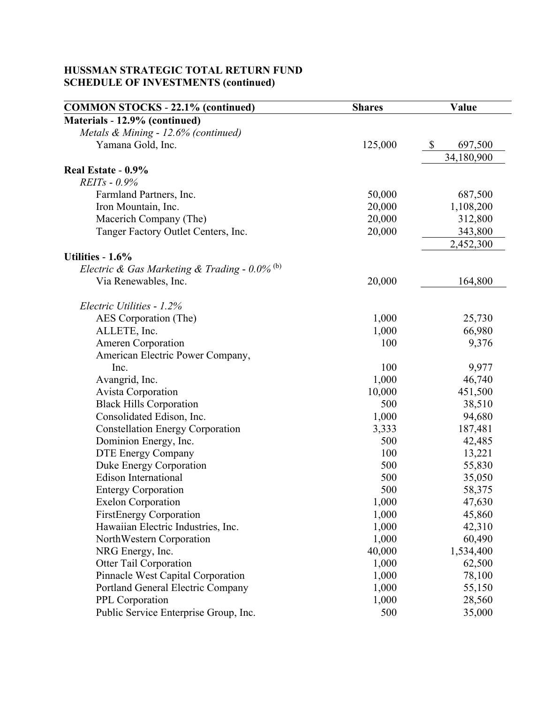# **HUSSMAN STRATEGIC TOTAL RETURN FUND SCHEDULE OF INVESTMENTS (continued)**

| Materials - 12.9% (continued)<br>Metals & Mining - 12.6% (continued)<br>125,000<br>$\mathbb{S}$<br>Yamana Gold, Inc.<br>697,500<br>34,180,900<br>Real Estate - 0.9%<br>$REITs - 0.9%$<br>687,500<br>Farmland Partners, Inc.<br>50,000<br>Iron Mountain, Inc.<br>1,108,200<br>20,000<br>Macerich Company (The)<br>20,000<br>312,800<br>Tanger Factory Outlet Centers, Inc.<br>20,000<br>343,800<br>2,452,300<br>Utilities - 1.6%<br>Electric & Gas Marketing & Trading - $0.0\%$ <sup>(b)</sup><br>20,000<br>164,800<br>Via Renewables, Inc.<br>Electric Utilities - 1.2%<br>1,000<br>25,730<br>AES Corporation (The)<br>ALLETE, Inc.<br>1,000<br>66,980<br>100<br>9,376<br><b>Ameren Corporation</b><br>American Electric Power Company,<br>Inc.<br>100<br>9,977<br>46,740<br>Avangrid, Inc.<br>1,000<br>Avista Corporation<br>10,000<br>451,500<br><b>Black Hills Corporation</b><br>500<br>38,510<br>1,000<br>Consolidated Edison, Inc.<br>94,680<br>187,481<br><b>Constellation Energy Corporation</b><br>3,333<br>Dominion Energy, Inc.<br>500<br>42,485<br>13,221<br><b>DTE Energy Company</b><br>100<br>Duke Energy Corporation<br>55,830<br>500<br><b>Edison International</b><br>500<br>35,050<br>500<br><b>Entergy Corporation</b><br>58,375<br>47,630<br>1,000<br><b>Exelon Corporation</b><br>1,000<br>45,860<br><b>FirstEnergy Corporation</b><br>Hawaiian Electric Industries, Inc.<br>1,000<br>42,310<br>1,000<br>NorthWestern Corporation<br>60,490<br>40,000<br>1,534,400<br>NRG Energy, Inc.<br>Otter Tail Corporation<br>1,000<br>62,500<br>Pinnacle West Capital Corporation<br>1,000<br>78,100<br>55,150<br>Portland General Electric Company<br>1,000<br>PPL Corporation<br>1,000<br>28,560 | <b>COMMON STOCKS - 22.1% (continued)</b> | <b>Shares</b> | Value  |
|------------------------------------------------------------------------------------------------------------------------------------------------------------------------------------------------------------------------------------------------------------------------------------------------------------------------------------------------------------------------------------------------------------------------------------------------------------------------------------------------------------------------------------------------------------------------------------------------------------------------------------------------------------------------------------------------------------------------------------------------------------------------------------------------------------------------------------------------------------------------------------------------------------------------------------------------------------------------------------------------------------------------------------------------------------------------------------------------------------------------------------------------------------------------------------------------------------------------------------------------------------------------------------------------------------------------------------------------------------------------------------------------------------------------------------------------------------------------------------------------------------------------------------------------------------------------------------------------------------------------------------------------------------------------------------------------------------------|------------------------------------------|---------------|--------|
|                                                                                                                                                                                                                                                                                                                                                                                                                                                                                                                                                                                                                                                                                                                                                                                                                                                                                                                                                                                                                                                                                                                                                                                                                                                                                                                                                                                                                                                                                                                                                                                                                                                                                                                  |                                          |               |        |
|                                                                                                                                                                                                                                                                                                                                                                                                                                                                                                                                                                                                                                                                                                                                                                                                                                                                                                                                                                                                                                                                                                                                                                                                                                                                                                                                                                                                                                                                                                                                                                                                                                                                                                                  |                                          |               |        |
|                                                                                                                                                                                                                                                                                                                                                                                                                                                                                                                                                                                                                                                                                                                                                                                                                                                                                                                                                                                                                                                                                                                                                                                                                                                                                                                                                                                                                                                                                                                                                                                                                                                                                                                  |                                          |               |        |
|                                                                                                                                                                                                                                                                                                                                                                                                                                                                                                                                                                                                                                                                                                                                                                                                                                                                                                                                                                                                                                                                                                                                                                                                                                                                                                                                                                                                                                                                                                                                                                                                                                                                                                                  |                                          |               |        |
|                                                                                                                                                                                                                                                                                                                                                                                                                                                                                                                                                                                                                                                                                                                                                                                                                                                                                                                                                                                                                                                                                                                                                                                                                                                                                                                                                                                                                                                                                                                                                                                                                                                                                                                  |                                          |               |        |
|                                                                                                                                                                                                                                                                                                                                                                                                                                                                                                                                                                                                                                                                                                                                                                                                                                                                                                                                                                                                                                                                                                                                                                                                                                                                                                                                                                                                                                                                                                                                                                                                                                                                                                                  |                                          |               |        |
|                                                                                                                                                                                                                                                                                                                                                                                                                                                                                                                                                                                                                                                                                                                                                                                                                                                                                                                                                                                                                                                                                                                                                                                                                                                                                                                                                                                                                                                                                                                                                                                                                                                                                                                  |                                          |               |        |
|                                                                                                                                                                                                                                                                                                                                                                                                                                                                                                                                                                                                                                                                                                                                                                                                                                                                                                                                                                                                                                                                                                                                                                                                                                                                                                                                                                                                                                                                                                                                                                                                                                                                                                                  |                                          |               |        |
|                                                                                                                                                                                                                                                                                                                                                                                                                                                                                                                                                                                                                                                                                                                                                                                                                                                                                                                                                                                                                                                                                                                                                                                                                                                                                                                                                                                                                                                                                                                                                                                                                                                                                                                  |                                          |               |        |
|                                                                                                                                                                                                                                                                                                                                                                                                                                                                                                                                                                                                                                                                                                                                                                                                                                                                                                                                                                                                                                                                                                                                                                                                                                                                                                                                                                                                                                                                                                                                                                                                                                                                                                                  |                                          |               |        |
|                                                                                                                                                                                                                                                                                                                                                                                                                                                                                                                                                                                                                                                                                                                                                                                                                                                                                                                                                                                                                                                                                                                                                                                                                                                                                                                                                                                                                                                                                                                                                                                                                                                                                                                  |                                          |               |        |
|                                                                                                                                                                                                                                                                                                                                                                                                                                                                                                                                                                                                                                                                                                                                                                                                                                                                                                                                                                                                                                                                                                                                                                                                                                                                                                                                                                                                                                                                                                                                                                                                                                                                                                                  |                                          |               |        |
|                                                                                                                                                                                                                                                                                                                                                                                                                                                                                                                                                                                                                                                                                                                                                                                                                                                                                                                                                                                                                                                                                                                                                                                                                                                                                                                                                                                                                                                                                                                                                                                                                                                                                                                  |                                          |               |        |
|                                                                                                                                                                                                                                                                                                                                                                                                                                                                                                                                                                                                                                                                                                                                                                                                                                                                                                                                                                                                                                                                                                                                                                                                                                                                                                                                                                                                                                                                                                                                                                                                                                                                                                                  |                                          |               |        |
|                                                                                                                                                                                                                                                                                                                                                                                                                                                                                                                                                                                                                                                                                                                                                                                                                                                                                                                                                                                                                                                                                                                                                                                                                                                                                                                                                                                                                                                                                                                                                                                                                                                                                                                  |                                          |               |        |
|                                                                                                                                                                                                                                                                                                                                                                                                                                                                                                                                                                                                                                                                                                                                                                                                                                                                                                                                                                                                                                                                                                                                                                                                                                                                                                                                                                                                                                                                                                                                                                                                                                                                                                                  |                                          |               |        |
|                                                                                                                                                                                                                                                                                                                                                                                                                                                                                                                                                                                                                                                                                                                                                                                                                                                                                                                                                                                                                                                                                                                                                                                                                                                                                                                                                                                                                                                                                                                                                                                                                                                                                                                  |                                          |               |        |
|                                                                                                                                                                                                                                                                                                                                                                                                                                                                                                                                                                                                                                                                                                                                                                                                                                                                                                                                                                                                                                                                                                                                                                                                                                                                                                                                                                                                                                                                                                                                                                                                                                                                                                                  |                                          |               |        |
|                                                                                                                                                                                                                                                                                                                                                                                                                                                                                                                                                                                                                                                                                                                                                                                                                                                                                                                                                                                                                                                                                                                                                                                                                                                                                                                                                                                                                                                                                                                                                                                                                                                                                                                  |                                          |               |        |
|                                                                                                                                                                                                                                                                                                                                                                                                                                                                                                                                                                                                                                                                                                                                                                                                                                                                                                                                                                                                                                                                                                                                                                                                                                                                                                                                                                                                                                                                                                                                                                                                                                                                                                                  |                                          |               |        |
|                                                                                                                                                                                                                                                                                                                                                                                                                                                                                                                                                                                                                                                                                                                                                                                                                                                                                                                                                                                                                                                                                                                                                                                                                                                                                                                                                                                                                                                                                                                                                                                                                                                                                                                  |                                          |               |        |
|                                                                                                                                                                                                                                                                                                                                                                                                                                                                                                                                                                                                                                                                                                                                                                                                                                                                                                                                                                                                                                                                                                                                                                                                                                                                                                                                                                                                                                                                                                                                                                                                                                                                                                                  |                                          |               |        |
|                                                                                                                                                                                                                                                                                                                                                                                                                                                                                                                                                                                                                                                                                                                                                                                                                                                                                                                                                                                                                                                                                                                                                                                                                                                                                                                                                                                                                                                                                                                                                                                                                                                                                                                  |                                          |               |        |
|                                                                                                                                                                                                                                                                                                                                                                                                                                                                                                                                                                                                                                                                                                                                                                                                                                                                                                                                                                                                                                                                                                                                                                                                                                                                                                                                                                                                                                                                                                                                                                                                                                                                                                                  |                                          |               |        |
|                                                                                                                                                                                                                                                                                                                                                                                                                                                                                                                                                                                                                                                                                                                                                                                                                                                                                                                                                                                                                                                                                                                                                                                                                                                                                                                                                                                                                                                                                                                                                                                                                                                                                                                  |                                          |               |        |
|                                                                                                                                                                                                                                                                                                                                                                                                                                                                                                                                                                                                                                                                                                                                                                                                                                                                                                                                                                                                                                                                                                                                                                                                                                                                                                                                                                                                                                                                                                                                                                                                                                                                                                                  |                                          |               |        |
|                                                                                                                                                                                                                                                                                                                                                                                                                                                                                                                                                                                                                                                                                                                                                                                                                                                                                                                                                                                                                                                                                                                                                                                                                                                                                                                                                                                                                                                                                                                                                                                                                                                                                                                  |                                          |               |        |
|                                                                                                                                                                                                                                                                                                                                                                                                                                                                                                                                                                                                                                                                                                                                                                                                                                                                                                                                                                                                                                                                                                                                                                                                                                                                                                                                                                                                                                                                                                                                                                                                                                                                                                                  |                                          |               |        |
|                                                                                                                                                                                                                                                                                                                                                                                                                                                                                                                                                                                                                                                                                                                                                                                                                                                                                                                                                                                                                                                                                                                                                                                                                                                                                                                                                                                                                                                                                                                                                                                                                                                                                                                  |                                          |               |        |
|                                                                                                                                                                                                                                                                                                                                                                                                                                                                                                                                                                                                                                                                                                                                                                                                                                                                                                                                                                                                                                                                                                                                                                                                                                                                                                                                                                                                                                                                                                                                                                                                                                                                                                                  |                                          |               |        |
|                                                                                                                                                                                                                                                                                                                                                                                                                                                                                                                                                                                                                                                                                                                                                                                                                                                                                                                                                                                                                                                                                                                                                                                                                                                                                                                                                                                                                                                                                                                                                                                                                                                                                                                  |                                          |               |        |
|                                                                                                                                                                                                                                                                                                                                                                                                                                                                                                                                                                                                                                                                                                                                                                                                                                                                                                                                                                                                                                                                                                                                                                                                                                                                                                                                                                                                                                                                                                                                                                                                                                                                                                                  |                                          |               |        |
|                                                                                                                                                                                                                                                                                                                                                                                                                                                                                                                                                                                                                                                                                                                                                                                                                                                                                                                                                                                                                                                                                                                                                                                                                                                                                                                                                                                                                                                                                                                                                                                                                                                                                                                  |                                          |               |        |
|                                                                                                                                                                                                                                                                                                                                                                                                                                                                                                                                                                                                                                                                                                                                                                                                                                                                                                                                                                                                                                                                                                                                                                                                                                                                                                                                                                                                                                                                                                                                                                                                                                                                                                                  |                                          |               |        |
|                                                                                                                                                                                                                                                                                                                                                                                                                                                                                                                                                                                                                                                                                                                                                                                                                                                                                                                                                                                                                                                                                                                                                                                                                                                                                                                                                                                                                                                                                                                                                                                                                                                                                                                  |                                          |               |        |
|                                                                                                                                                                                                                                                                                                                                                                                                                                                                                                                                                                                                                                                                                                                                                                                                                                                                                                                                                                                                                                                                                                                                                                                                                                                                                                                                                                                                                                                                                                                                                                                                                                                                                                                  |                                          |               |        |
|                                                                                                                                                                                                                                                                                                                                                                                                                                                                                                                                                                                                                                                                                                                                                                                                                                                                                                                                                                                                                                                                                                                                                                                                                                                                                                                                                                                                                                                                                                                                                                                                                                                                                                                  |                                          |               |        |
|                                                                                                                                                                                                                                                                                                                                                                                                                                                                                                                                                                                                                                                                                                                                                                                                                                                                                                                                                                                                                                                                                                                                                                                                                                                                                                                                                                                                                                                                                                                                                                                                                                                                                                                  |                                          |               |        |
|                                                                                                                                                                                                                                                                                                                                                                                                                                                                                                                                                                                                                                                                                                                                                                                                                                                                                                                                                                                                                                                                                                                                                                                                                                                                                                                                                                                                                                                                                                                                                                                                                                                                                                                  |                                          |               |        |
|                                                                                                                                                                                                                                                                                                                                                                                                                                                                                                                                                                                                                                                                                                                                                                                                                                                                                                                                                                                                                                                                                                                                                                                                                                                                                                                                                                                                                                                                                                                                                                                                                                                                                                                  |                                          |               |        |
|                                                                                                                                                                                                                                                                                                                                                                                                                                                                                                                                                                                                                                                                                                                                                                                                                                                                                                                                                                                                                                                                                                                                                                                                                                                                                                                                                                                                                                                                                                                                                                                                                                                                                                                  | Public Service Enterprise Group, Inc.    | 500           | 35,000 |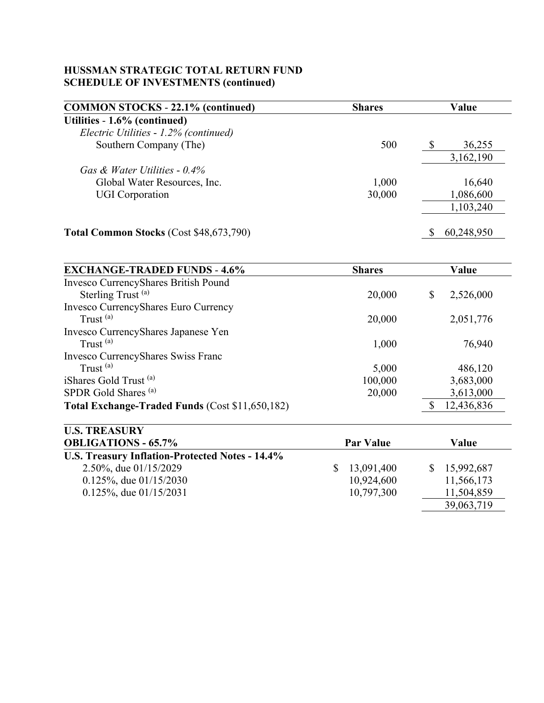## **HUSSMAN STRATEGIC TOTAL RETURN FUND SCHEDULE OF INVESTMENTS (continued)**

| <b>COMMON STOCKS - 22.1% (continued)</b>       | <b>Shares</b> |   | Value      |
|------------------------------------------------|---------------|---|------------|
| Utilities - 1.6% (continued)                   |               |   |            |
| Electric Utilities - 1.2% (continued)          |               |   |            |
| Southern Company (The)                         | 500           | S | 36,255     |
|                                                |               |   | 3,162,190  |
| Gas & Water Utilities - $0.4\%$                |               |   |            |
| Global Water Resources, Inc.                   | 1,000         |   | 16,640     |
| <b>UGI</b> Corporation                         | 30,000        |   | 1,086,600  |
|                                                |               |   | 1,103,240  |
| <b>Total Common Stocks (Cost \$48,673,790)</b> |               |   | 60,248,950 |

| <b>EXCHANGE-TRADED FUNDS - 4.6%</b>             | <b>Shares</b> | Value           |
|-------------------------------------------------|---------------|-----------------|
| Invesco CurrencyShares British Pound            |               |                 |
| Sterling Trust <sup>(a)</sup>                   | 20,000        | \$<br>2,526,000 |
| Invesco CurrencyShares Euro Currency            |               |                 |
| Trust $^{(a)}$                                  | 20,000        | 2,051,776       |
| Invesco CurrencyShares Japanese Yen             |               |                 |
| Trust $^{(a)}$                                  | 1,000         | 76,940          |
| <b>Invesco CurrencyShares Swiss Franc</b>       |               |                 |
| Trust $^{(a)}$                                  | 5,000         | 486,120         |
| iShares Gold Trust <sup>(a)</sup>               | 100,000       | 3,683,000       |
| SPDR Gold Shares <sup>(a)</sup>                 | 20,000        | 3,613,000       |
| Total Exchange-Traded Funds (Cost \$11,650,182) |               | 12,436,836      |

| <b>U.S. TREASURY</b>                            |                  |              |
|-------------------------------------------------|------------------|--------------|
| <b>OBLIGATIONS - 65.7%</b>                      | <b>Par Value</b> | Value        |
| U.S. Treasury Inflation-Protected Notes - 14.4% |                  |              |
| 2.50%, due 01/15/2029                           | \$13,091,400     | \$15,992,687 |
| $0.125\%$ , due $01/15/2030$                    | 10,924,600       | 11,566,173   |
| $0.125\%$ , due $01/15/2031$                    | 10,797,300       | 11,504,859   |
|                                                 |                  | 39,063,719   |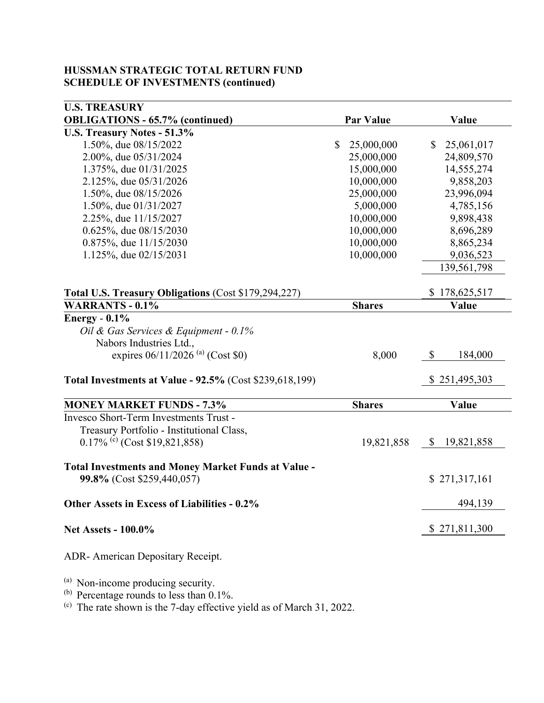### **HUSSMAN STRATEGIC TOTAL RETURN FUND SCHEDULE OF INVESTMENTS (continued)**

| <b>U.S. TREASURY</b>                                                                     |                            |                              |
|------------------------------------------------------------------------------------------|----------------------------|------------------------------|
| <b>OBLIGATIONS - 65.7% (continued)</b>                                                   | <b>Par Value</b>           | Value                        |
| U.S. Treasury Notes - 51.3%                                                              |                            |                              |
| 1.50%, due 08/15/2022                                                                    | $\mathbb{S}$<br>25,000,000 | 25,061,017<br>$\mathbb{S}$   |
| 2.00%, due 05/31/2024                                                                    | 25,000,000                 | 24,809,570                   |
| 1.375%, due 01/31/2025                                                                   | 15,000,000                 | 14,555,274                   |
| 2.125%, due 05/31/2026                                                                   | 10,000,000                 | 9,858,203                    |
| 1.50%, due 08/15/2026                                                                    | 25,000,000                 | 23,996,094                   |
| 1.50%, due 01/31/2027                                                                    | 5,000,000                  | 4,785,156                    |
| 2.25%, due 11/15/2027                                                                    | 10,000,000                 | 9,898,438                    |
| 0.625%, due 08/15/2030                                                                   | 10,000,000                 | 8,696,289                    |
| 0.875%, due 11/15/2030                                                                   | 10,000,000                 | 8,865,234                    |
| 1.125%, due 02/15/2031                                                                   | 10,000,000                 | 9,036,523                    |
|                                                                                          |                            | 139,561,798                  |
| Total U.S. Treasury Obligations (Cost \$179,294,227)                                     |                            | \$178,625,517                |
| <b>WARRANTS - 0.1%</b>                                                                   | <b>Shares</b>              | Value                        |
| Energy - $0.1\%$                                                                         |                            |                              |
| Oil & Gas Services & Equipment - 0.1%                                                    |                            |                              |
| Nabors Industries Ltd.,                                                                  |                            |                              |
| expires $06/11/2026$ <sup>(a)</sup> (Cost \$0)                                           | 8,000                      | \$<br>184,000                |
| Total Investments at Value - 92.5% (Cost \$239,618,199)                                  |                            | \$251,495,303                |
| <b>MONEY MARKET FUNDS - 7.3%</b>                                                         | <b>Shares</b>              | Value                        |
| Invesco Short-Term Investments Trust -                                                   |                            |                              |
| Treasury Portfolio - Institutional Class,                                                |                            |                              |
| $0.17\%$ (c) (Cost \$19,821,858)                                                         | 19,821,858                 | 19,821,858<br>$\mathbb{S}^-$ |
| <b>Total Investments and Money Market Funds at Value -</b><br>99.8% (Cost \$259,440,057) |                            | \$271,317,161                |
| Other Assets in Excess of Liabilities - 0.2%                                             |                            | 494,139                      |
| <b>Net Assets - 100.0%</b>                                                               |                            | \$271,811,300                |
| ADR-American Depositary Receipt.                                                         |                            |                              |

(a) Non-income producing security.<br>(b) Percentage rounds to less than 0.1%.

(c) The rate shown is the 7-day effective yield as of March 31, 2022.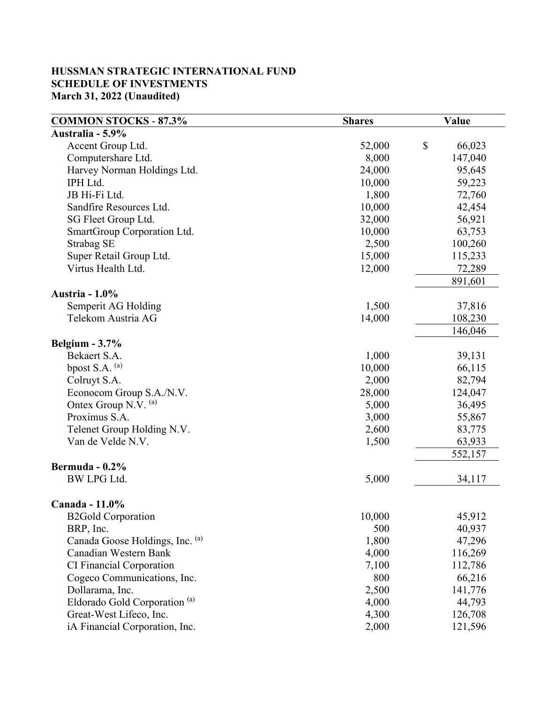#### **HUSSMAN STRATEGIC INTERNATIONAL FUND SCHEDULE OF INVESTMENTS March 31, 2022 (Unaudited)**

| Australia - 5.9%<br>\$<br>66,023<br>Accent Group Ltd.<br>52,000<br>Computershare Ltd.<br>8,000<br>147,040<br>Harvey Norman Holdings Ltd.<br>24,000<br>95,645<br>IPH Ltd.<br>59,223<br>10,000<br>JB Hi-Fi Ltd.<br>1,800<br>72,760 | <b>COMMON STOCKS - 87.3%</b> | <b>Shares</b> | Value  |
|----------------------------------------------------------------------------------------------------------------------------------------------------------------------------------------------------------------------------------|------------------------------|---------------|--------|
|                                                                                                                                                                                                                                  |                              |               |        |
|                                                                                                                                                                                                                                  |                              |               |        |
|                                                                                                                                                                                                                                  |                              |               |        |
|                                                                                                                                                                                                                                  |                              |               |        |
|                                                                                                                                                                                                                                  |                              |               |        |
|                                                                                                                                                                                                                                  |                              |               |        |
|                                                                                                                                                                                                                                  | Sandfire Resources Ltd.      | 10,000        | 42,454 |
| SG Fleet Group Ltd.<br>32,000<br>56,921                                                                                                                                                                                          |                              |               |        |
| SmartGroup Corporation Ltd.<br>10,000<br>63,753                                                                                                                                                                                  |                              |               |        |
| 2,500<br>100,260<br>Strabag SE                                                                                                                                                                                                   |                              |               |        |
| Super Retail Group Ltd.<br>115,233<br>15,000                                                                                                                                                                                     |                              |               |        |
| Virtus Health Ltd.<br>72,289<br>12,000                                                                                                                                                                                           |                              |               |        |
| 891,601                                                                                                                                                                                                                          |                              |               |        |
| <b>Austria - 1.0%</b>                                                                                                                                                                                                            |                              |               |        |
| Semperit AG Holding<br>1,500<br>37,816                                                                                                                                                                                           |                              |               |        |
| Telekom Austria AG<br>108,230<br>14,000                                                                                                                                                                                          |                              |               |        |
| 146,046                                                                                                                                                                                                                          |                              |               |        |
| Belgium $-3.7\%$                                                                                                                                                                                                                 |                              |               |        |
| Bekaert S.A.<br>39,131<br>1,000                                                                                                                                                                                                  |                              |               |        |
| bpost S.A. (a)<br>10,000<br>66,115                                                                                                                                                                                               |                              |               |        |
| Colruyt S.A.<br>2,000<br>82,794                                                                                                                                                                                                  |                              |               |        |
| Econocom Group S.A./N.V.<br>28,000<br>124,047                                                                                                                                                                                    |                              |               |        |
| Ontex Group N.V. (a)<br>36,495<br>5,000                                                                                                                                                                                          |                              |               |        |
| Proximus S.A.<br>3,000<br>55,867                                                                                                                                                                                                 |                              |               |        |
| Telenet Group Holding N.V.<br>2,600<br>83,775                                                                                                                                                                                    |                              |               |        |
| 63,933<br>Van de Velde N.V.<br>1,500                                                                                                                                                                                             |                              |               |        |
| 552,157                                                                                                                                                                                                                          |                              |               |        |
| Bermuda - $0.2\%$                                                                                                                                                                                                                |                              |               |        |
| <b>BW LPG Ltd.</b><br>5,000<br>34,117                                                                                                                                                                                            |                              |               |        |
| Canada - 11.0%                                                                                                                                                                                                                   |                              |               |        |
| 45,912<br>10,000<br><b>B2Gold Corporation</b>                                                                                                                                                                                    |                              |               |        |
| 40,937<br>BRP, Inc.<br>500                                                                                                                                                                                                       |                              |               |        |
| Canada Goose Holdings, Inc. (a)<br>1,800<br>47,296                                                                                                                                                                               |                              |               |        |
| Canadian Western Bank<br>4,000<br>116,269                                                                                                                                                                                        |                              |               |        |
| CI Financial Corporation<br>7,100<br>112,786                                                                                                                                                                                     |                              |               |        |
| Cogeco Communications, Inc.<br>800<br>66,216                                                                                                                                                                                     |                              |               |        |
| Dollarama, Inc.<br>2,500<br>141,776                                                                                                                                                                                              |                              |               |        |
| Eldorado Gold Corporation <sup>(a)</sup><br>4,000<br>44,793                                                                                                                                                                      |                              |               |        |
| Great-West Lifeco, Inc.<br>4,300<br>126,708                                                                                                                                                                                      |                              |               |        |
| iA Financial Corporation, Inc.<br>2,000<br>121,596                                                                                                                                                                               |                              |               |        |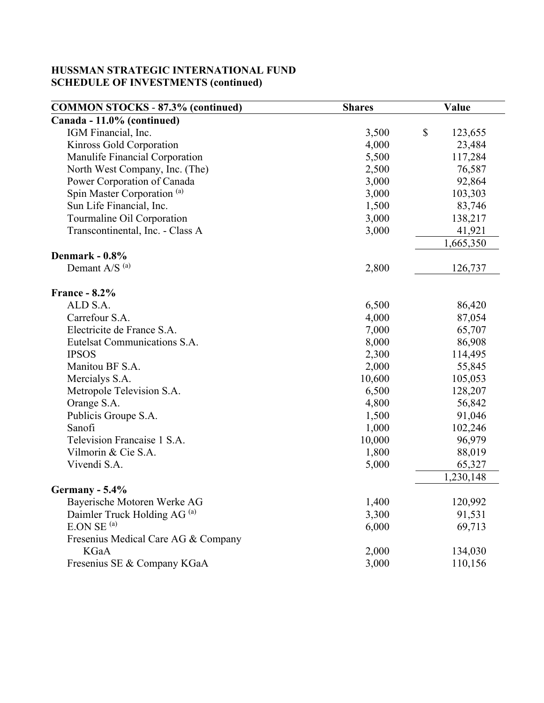| <b>COMMON STOCKS - 87.3% (continued)</b> | <b>Shares</b> | Value                                |
|------------------------------------------|---------------|--------------------------------------|
| Canada - 11.0% (continued)               |               |                                      |
| IGM Financial, Inc.                      | 3,500         | $\boldsymbol{\mathsf{S}}$<br>123,655 |
| Kinross Gold Corporation                 | 4,000         | 23,484                               |
| Manulife Financial Corporation           | 5,500         | 117,284                              |
| North West Company, Inc. (The)           | 2,500         | 76,587                               |
| Power Corporation of Canada              | 3,000         | 92,864                               |
| Spin Master Corporation <sup>(a)</sup>   | 3,000         | 103,303                              |
| Sun Life Financial, Inc.                 | 1,500         | 83,746                               |
| Tourmaline Oil Corporation               | 3,000         | 138,217                              |
| Transcontinental, Inc. - Class A         | 3,000         | 41,921                               |
|                                          |               | 1,665,350                            |
| Denmark - 0.8%                           |               |                                      |
| Demant A/S <sup>(a)</sup>                | 2,800         | 126,737                              |
| <b>France - 8.2%</b>                     |               |                                      |
| ALD S.A.                                 | 6,500         | 86,420                               |
| Carrefour S.A.                           | 4,000         | 87,054                               |
| Electricite de France S.A.               | 7,000         | 65,707                               |
| Eutelsat Communications S.A.             | 8,000         | 86,908                               |
| <b>IPSOS</b>                             | 2,300         | 114,495                              |
| Manitou BF S.A.                          | 2,000         | 55,845                               |
| Mercialys S.A.                           | 10,600        | 105,053                              |
| Metropole Television S.A.                | 6,500         | 128,207                              |
| Orange S.A.                              | 4,800         | 56,842                               |
| Publicis Groupe S.A.                     | 1,500         | 91,046                               |
| Sanofi                                   | 1,000         | 102,246                              |
| Television Francaise 1 S.A.              | 10,000        | 96,979                               |
| Vilmorin & Cie S.A.                      | 1,800         | 88,019                               |
| Vivendi S.A.                             | 5,000         | 65,327                               |
|                                          |               | 1,230,148                            |
| Germany - $5.4\%$                        |               |                                      |
| Bayerische Motoren Werke AG              | 1,400         | 120,992                              |
| Daimler Truck Holding AG <sup>(a)</sup>  | 3,300         | 91,531                               |
| E.ON SE <sup>(a)</sup>                   | 6,000         | 69,713                               |
| Fresenius Medical Care AG & Company      |               |                                      |
| KGaA                                     | 2,000         | 134,030                              |
| Fresenius SE & Company KGaA              | 3,000         | 110,156                              |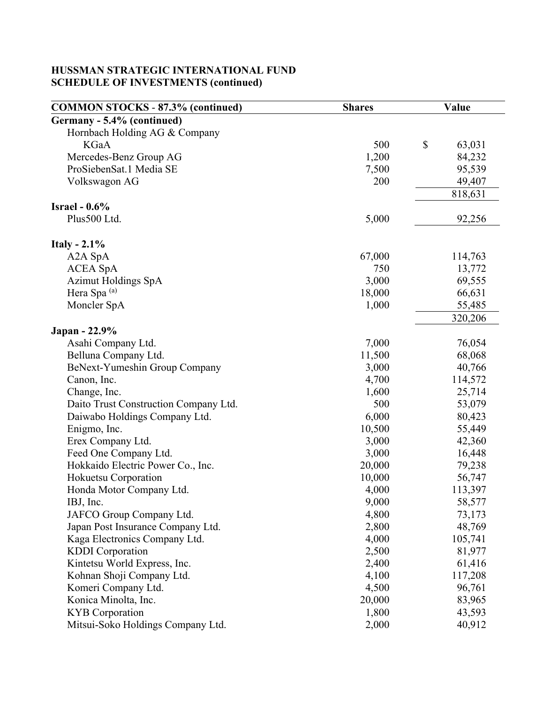| <b>COMMON STOCKS - 87.3% (continued)</b> | <b>Shares</b> | Value        |
|------------------------------------------|---------------|--------------|
| Germany - 5.4% (continued)               |               |              |
| Hornbach Holding AG & Company            |               |              |
| <b>KGaA</b>                              | 500           | \$<br>63,031 |
| Mercedes-Benz Group AG                   | 1,200         | 84,232       |
| ProSiebenSat.1 Media SE                  | 7,500         | 95,539       |
| Volkswagon AG                            | 200           | 49,407       |
|                                          |               | 818,631      |
| Israel - $0.6\%$                         |               |              |
| Plus500 Ltd.                             | 5,000         | 92,256       |
|                                          |               |              |
| Italy - $2.1\%$                          |               |              |
| A <sub>2</sub> A <sub>SpA</sub>          | 67,000        | 114,763      |
| <b>ACEA SpA</b>                          | 750           | 13,772       |
| <b>Azimut Holdings SpA</b>               | 3,000         | 69,555       |
| Hera Spa <sup>(a)</sup>                  | 18,000        | 66,631       |
| Moncler SpA                              | 1,000         | 55,485       |
|                                          |               | 320,206      |
| Japan - 22.9%                            |               |              |
| Asahi Company Ltd.                       | 7,000         | 76,054       |
| Belluna Company Ltd.                     | 11,500        | 68,068       |
| BeNext-Yumeshin Group Company            | 3,000         | 40,766       |
| Canon, Inc.                              | 4,700         | 114,572      |
| Change, Inc.                             | 1,600         | 25,714       |
| Daito Trust Construction Company Ltd.    | 500           | 53,079       |
| Daiwabo Holdings Company Ltd.            | 6,000         | 80,423       |
| Enigmo, Inc.                             | 10,500        | 55,449       |
| Erex Company Ltd.                        | 3,000         | 42,360       |
| Feed One Company Ltd.                    | 3,000         | 16,448       |
| Hokkaido Electric Power Co., Inc.        | 20,000        | 79,238       |
| Hokuetsu Corporation                     | 10,000        | 56,747       |
| Honda Motor Company Ltd.                 | 4,000         | 113,397      |
| IBJ, Inc.                                | 9,000         | 58,577       |
| JAFCO Group Company Ltd.                 | 4,800         | 73,173       |
| Japan Post Insurance Company Ltd.        | 2,800         | 48,769       |
| Kaga Electronics Company Ltd.            | 4,000         | 105,741      |
| <b>KDDI</b> Corporation                  | 2,500         | 81,977       |
| Kintetsu World Express, Inc.             | 2,400         | 61,416       |
| Kohnan Shoji Company Ltd.                | 4,100         | 117,208      |
| Komeri Company Ltd.                      | 4,500         | 96,761       |
| Konica Minolta, Inc.                     | 20,000        | 83,965       |
| <b>KYB</b> Corporation                   | 1,800         | 43,593       |
| Mitsui-Soko Holdings Company Ltd.        | 2,000         | 40,912       |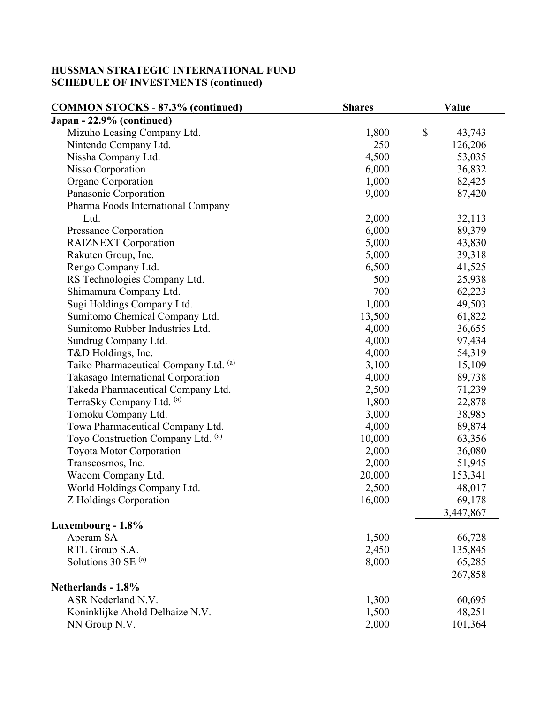| <b>COMMON STOCKS - 87.3% (continued)</b> | <b>Shares</b> | Value                               |
|------------------------------------------|---------------|-------------------------------------|
| Japan - 22.9% (continued)                |               |                                     |
| Mizuho Leasing Company Ltd.              | 1,800         | $\boldsymbol{\mathsf{S}}$<br>43,743 |
| Nintendo Company Ltd.                    | 250           | 126,206                             |
| Nissha Company Ltd.                      | 4,500         | 53,035                              |
| Nisso Corporation                        | 6,000         | 36,832                              |
| Organo Corporation                       | 1,000         | 82,425                              |
| Panasonic Corporation                    | 9,000         | 87,420                              |
| Pharma Foods International Company       |               |                                     |
| Ltd.                                     | 2,000         | 32,113                              |
| Pressance Corporation                    | 6,000         | 89,379                              |
| <b>RAIZNEXT</b> Corporation              | 5,000         | 43,830                              |
| Rakuten Group, Inc.                      | 5,000         | 39,318                              |
| Rengo Company Ltd.                       | 6,500         | 41,525                              |
| RS Technologies Company Ltd.             | 500           | 25,938                              |
| Shimamura Company Ltd.                   | 700           | 62,223                              |
| Sugi Holdings Company Ltd.               | 1,000         | 49,503                              |
| Sumitomo Chemical Company Ltd.           | 13,500        | 61,822                              |
| Sumitomo Rubber Industries Ltd.          | 4,000         | 36,655                              |
| Sundrug Company Ltd.                     | 4,000         | 97,434                              |
| T&D Holdings, Inc.                       | 4,000         | 54,319                              |
| Taiko Pharmaceutical Company Ltd. (a)    | 3,100         | 15,109                              |
| Takasago International Corporation       | 4,000         | 89,738                              |
| Takeda Pharmaceutical Company Ltd.       | 2,500         | 71,239                              |
| TerraSky Company Ltd. (a)                | 1,800         | 22,878                              |
| Tomoku Company Ltd.                      | 3,000         | 38,985                              |
| Towa Pharmaceutical Company Ltd.         | 4,000         | 89,874                              |
| Toyo Construction Company Ltd. (a)       | 10,000        | 63,356                              |
| Toyota Motor Corporation                 | 2,000         | 36,080                              |
| Transcosmos, Inc.                        | 2,000         | 51,945                              |
| Wacom Company Ltd.                       | 20,000        | 153,341                             |
| World Holdings Company Ltd.              | 2,500         | 48,017                              |
| Z Holdings Corporation                   | 16,000        | 69,178                              |
|                                          |               | 3,447,867                           |
| Luxembourg - 1.8%                        |               |                                     |
| Aperam SA                                | 1,500         | 66,728                              |
| RTL Group S.A.                           | 2,450         | 135,845                             |
| Solutions 30 SE $^{(a)}$                 | 8,000         | 65,285                              |
|                                          |               | 267,858                             |
| Netherlands - 1.8%                       |               |                                     |
| ASR Nederland N.V.                       | 1,300         | 60,695                              |
| Koninklijke Ahold Delhaize N.V.          | 1,500         | 48,251                              |
| NN Group N.V.                            | 2,000         | 101,364                             |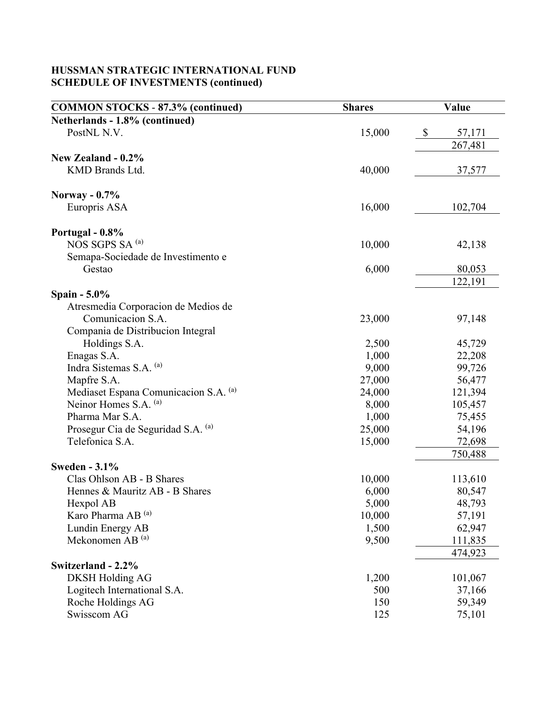| <b>COMMON STOCKS - 87.3% (continued)</b>        | <b>Shares</b>   | Value             |
|-------------------------------------------------|-----------------|-------------------|
| Netherlands - 1.8% (continued)                  |                 |                   |
| PostNL N.V.                                     | 15,000          | \$<br>57,171      |
|                                                 |                 | 267,481           |
| New Zealand - 0.2%                              |                 |                   |
| KMD Brands Ltd.                                 | 40,000          | 37,577            |
|                                                 |                 |                   |
| Norway - $0.7\%$                                |                 |                   |
| Europris ASA                                    | 16,000          | 102,704           |
| Portugal - 0.8%                                 |                 |                   |
| NOS SGPS SA <sup>(a)</sup>                      | 10,000          | 42,138            |
| Semapa-Sociedade de Investimento e              |                 |                   |
| Gestao                                          | 6,000           | 80,053            |
|                                                 |                 | 122,191           |
| Spain $-5.0\%$                                  |                 |                   |
| Atresmedia Corporacion de Medios de             |                 |                   |
| Comunicacion S.A.                               | 23,000          | 97,148            |
| Compania de Distribucion Integral               |                 |                   |
| Holdings S.A.                                   | 2,500           | 45,729            |
| Enagas S.A.                                     | 1,000           | 22,208            |
| Indra Sistemas S.A. (a)                         | 9,000           | 99,726            |
| Mapfre S.A.                                     | 27,000          | 56,477            |
| Mediaset Espana Comunicacion S.A. (a)           | 24,000          | 121,394           |
| Neinor Homes S.A. (a)                           | 8,000           | 105,457           |
| Pharma Mar S.A.                                 | 1,000           | 75,455            |
| Prosegur Cia de Seguridad S.A. (a)              | 25,000          | 54,196            |
| Telefonica S.A.                                 | 15,000          | 72,698            |
|                                                 |                 | 750,488           |
| <b>Sweden - 3.1%</b>                            |                 |                   |
| Clas Ohlson AB - B Shares                       | 10,000          | 113,610<br>80,547 |
| Hennes & Mauritz AB - B Shares                  | 6,000           |                   |
| Hexpol AB<br>Karo Pharma AB <sup>(a)</sup>      | 5,000<br>10,000 | 48,793            |
|                                                 | 1,500           | 57,191<br>62,947  |
| Lundin Energy AB<br>Mekonomen AB <sup>(a)</sup> | 9,500           | 111,835           |
|                                                 |                 | 474,923           |
| Switzerland - 2.2%                              |                 |                   |
| <b>DKSH Holding AG</b>                          | 1,200           | 101,067           |
| Logitech International S.A.                     | 500             | 37,166            |
| Roche Holdings AG                               | 150             | 59,349            |
| Swisscom AG                                     | 125             | 75,101            |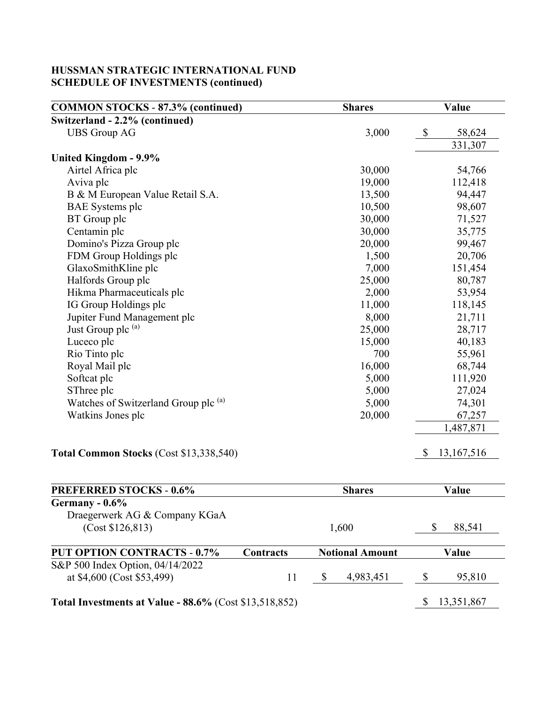| <b>COMMON STOCKS - 87.3% (continued)</b>                      |           | Value<br><b>Shares</b> |                  |
|---------------------------------------------------------------|-----------|------------------------|------------------|
| Switzerland - 2.2% (continued)                                |           |                        |                  |
| <b>UBS</b> Group AG                                           | 3,000     | \$<br>58,624           |                  |
|                                                               |           |                        | 331,307          |
| United Kingdom - 9.9%                                         |           |                        |                  |
| Airtel Africa plc                                             |           | 30,000                 | 54,766           |
| Aviva plc                                                     |           | 19,000                 | 112,418          |
| B & M European Value Retail S.A.                              |           | 13,500                 | 94,447           |
| <b>BAE</b> Systems plc                                        |           | 10,500                 | 98,607           |
| BT Group plc                                                  |           | 30,000                 | 71,527           |
| Centamin plc                                                  |           | 30,000                 | 35,775           |
| Domino's Pizza Group plc                                      |           | 20,000                 | 99,467           |
| FDM Group Holdings plc                                        |           | 1,500                  | 20,706           |
| GlaxoSmithKline plc                                           |           | 7,000                  | 151,454          |
| Halfords Group plc                                            |           | 25,000                 | 80,787           |
| Hikma Pharmaceuticals plc                                     |           | 2,000                  | 53,954           |
| IG Group Holdings plc                                         |           | 11,000                 | 118,145          |
| Jupiter Fund Management plc                                   |           | 8,000                  | 21,711           |
| Just Group plc (a)<br>Luceco plc                              |           | 25,000<br>15,000       | 28,717<br>40,183 |
|                                                               |           |                        |                  |
| Royal Mail plc                                                |           | 16,000                 | 68,744           |
| Softcat plc                                                   |           | 5,000                  | 111,920          |
| SThree plc                                                    |           | 5,000                  | 27,024           |
| Watches of Switzerland Group plc (a)                          |           | 5,000                  | 74,301           |
| Watkins Jones plc                                             |           | 20,000                 | 67,257           |
|                                                               |           |                        | 1,487,871        |
| Total Common Stocks (Cost \$13,338,540)                       |           |                        | \$<br>13,167,516 |
|                                                               |           |                        |                  |
| <b>PREFERRED STOCKS - 0.6%</b>                                |           | <b>Shares</b>          | Value            |
| Germany - 0.6%                                                |           |                        |                  |
| Draegerwerk AG & Company KGaA<br>(Cost \$126,813)             |           | 1,600                  | \$<br>88,541     |
| <b>PUT OPTION CONTRACTS - 0.7%</b>                            | Contracts | <b>Notional Amount</b> | Value            |
| S&P 500 Index Option, 04/14/2022                              |           |                        |                  |
| at \$4,600 (Cost \$53,499)                                    | 11        | \$<br>4,983,451        | \$<br>95,810     |
| <b>Total Investments at Value - 88.6%</b> (Cost \$13,518,852) |           |                        | 13,351,867<br>\$ |

<u> 1989 - Johann Barbara, martxa alemaniar argamento de la contrada de la contrada de la contrada de la contrada</u>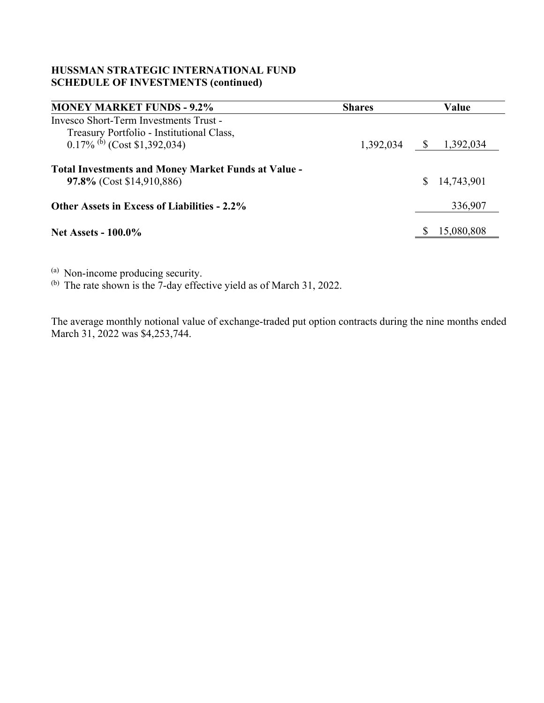| <b>MONEY MARKET FUNDS - 9.2%</b>                                                        | <b>Shares</b> | Value                     |
|-----------------------------------------------------------------------------------------|---------------|---------------------------|
| Invesco Short-Term Investments Trust -                                                  |               |                           |
| Treasury Portfolio - Institutional Class,                                               |               |                           |
| $0.17\%$ <sup>(b)</sup> (Cost \$1,392,034)                                              | 1,392,034     | 1,392,034<br>$\mathbb{S}$ |
| <b>Total Investments and Money Market Funds at Value -</b><br>97.8% (Cost \$14,910,886) |               | \$14,743,901              |
| <b>Other Assets in Excess of Liabilities - 2.2%</b>                                     |               | 336,907                   |
| <b>Net Assets - 100.0%</b>                                                              |               | 15,080,808                |

(a) Non-income producing security.<br>(b) The rate shown is the 7-day effective yield as of March 31, 2022.

The average monthly notional value of exchange-traded put option contracts during the nine months ended March 31, 2022 was \$4,253,744.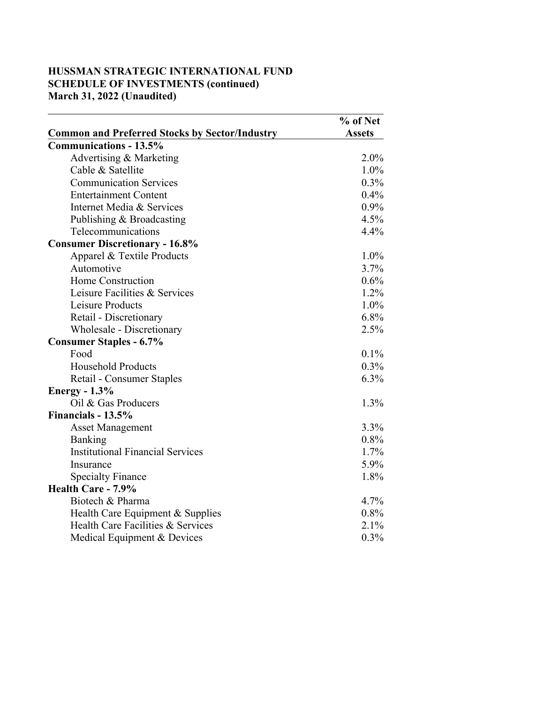### **HUSSMAN STRATEGIC INTERNATIONAL FUND SCHEDULE OF INVESTMENTS (continued) March 31, 2022 (Unaudited)**

|                                                       | % of Net      |
|-------------------------------------------------------|---------------|
| <b>Common and Preferred Stocks by Sector/Industry</b> | <b>Assets</b> |
| <b>Communications - 13.5%</b>                         |               |
| Advertising & Marketing                               | 2.0%          |
| Cable & Satellite                                     | 1.0%          |
| <b>Communication Services</b>                         | $0.3\%$       |
| <b>Entertainment Content</b>                          | 0.4%          |
| Internet Media & Services                             | 0.9%          |
| Publishing & Broadcasting                             | 4.5%          |
| Telecommunications                                    | 4.4%          |
| <b>Consumer Discretionary - 16.8%</b>                 |               |
| Apparel & Textile Products                            | 1.0%          |
| Automotive                                            | 3.7%          |
| Home Construction                                     | 0.6%          |
| Leisure Facilities & Services                         | 1.2%          |
| Leisure Products                                      | 1.0%          |
| Retail - Discretionary                                | $6.8\%$       |
| Wholesale - Discretionary                             | 2.5%          |
| <b>Consumer Staples - 6.7%</b>                        |               |
| Food                                                  | 0.1%          |
| <b>Household Products</b>                             | $0.3\%$       |
| Retail - Consumer Staples                             | 6.3%          |
| Energy - $1.3\%$                                      |               |
| Oil & Gas Producers                                   | 1.3%          |
| Financials - 13.5%                                    |               |
| <b>Asset Management</b>                               | 3.3%          |
| Banking                                               | 0.8%          |
| <b>Institutional Financial Services</b>               | 1.7%          |
| Insurance                                             | 5.9%          |
| <b>Specialty Finance</b>                              | 1.8%          |
| Health Care - 7.9%                                    |               |
| Biotech & Pharma                                      | 4.7%          |
| Health Care Equipment & Supplies                      | 0.8%          |
| Health Care Facilities & Services                     | 2.1%          |
| Medical Equipment & Devices                           | 0.3%          |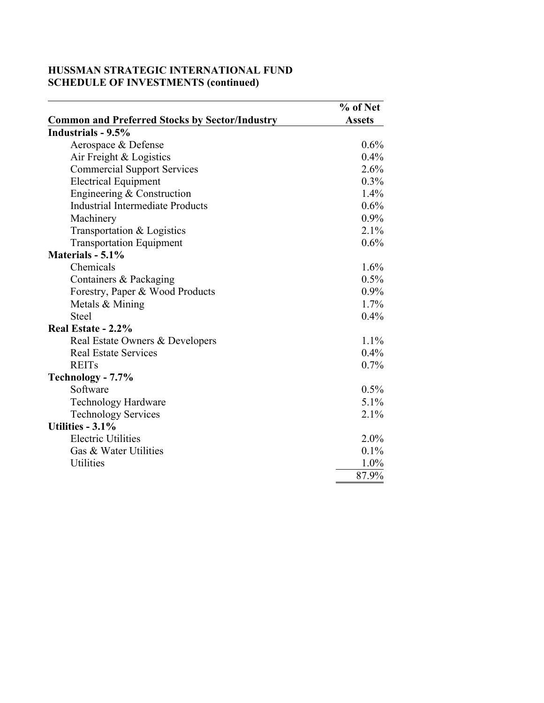|                                                       | % of Net      |
|-------------------------------------------------------|---------------|
| <b>Common and Preferred Stocks by Sector/Industry</b> | <b>Assets</b> |
| Industrials - 9.5%                                    |               |
| Aerospace & Defense                                   | $0.6\%$       |
| Air Freight & Logistics                               | 0.4%          |
| <b>Commercial Support Services</b>                    | 2.6%          |
| <b>Electrical Equipment</b>                           | $0.3\%$       |
| Engineering & Construction                            | 1.4%          |
| <b>Industrial Intermediate Products</b>               | 0.6%          |
| Machinery                                             | 0.9%          |
| Transportation & Logistics                            | 2.1%          |
| <b>Transportation Equipment</b>                       | 0.6%          |
| Materials - 5.1%                                      |               |
| Chemicals                                             | 1.6%          |
| Containers & Packaging                                | 0.5%          |
| Forestry, Paper & Wood Products                       | $0.9\%$       |
| Metals & Mining                                       | 1.7%          |
| <b>Steel</b>                                          | 0.4%          |
| Real Estate - 2.2%                                    |               |
| Real Estate Owners & Developers                       | 1.1%          |
| <b>Real Estate Services</b>                           | 0.4%          |
| <b>REITs</b>                                          | 0.7%          |
| Technology - 7.7%                                     |               |
| Software                                              | 0.5%          |
| <b>Technology Hardware</b>                            | 5.1%          |
| <b>Technology Services</b>                            | 2.1%          |
| <b>Utilities - 3.1%</b>                               |               |
| <b>Electric Utilities</b>                             | 2.0%          |
| Gas & Water Utilities                                 | 0.1%          |
| <b>Utilities</b>                                      | 1.0%          |
|                                                       | 87.9%         |